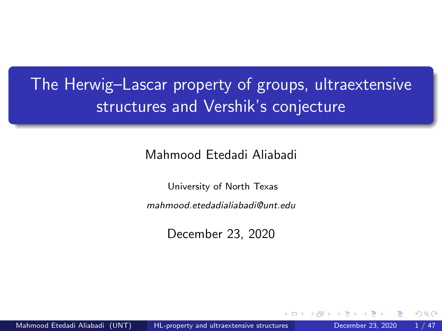# <span id="page-0-0"></span>The Herwig–Lascar property of groups, ultraextensive structures and Vershik's conjecture

Mahmood Etedadi Aliabadi

University of North Texas

mahmood.etedadialiabadi@unt.edu

December 23, 2020

つひひ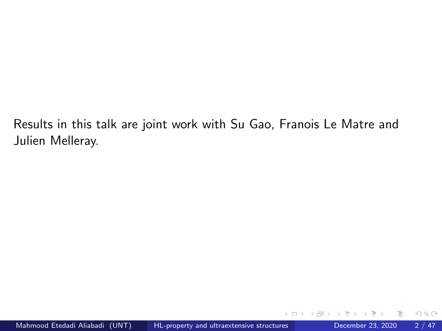Results in this talk are joint work with Su Gao, Franois Le Matre and Julien Melleray.

4 **D** F

 $298$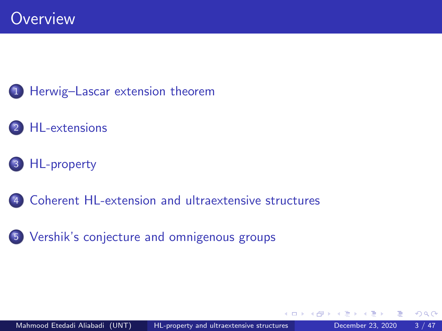### 1 [Herwig–Lascar extension theorem](#page-3-0)

## [HL-extensions](#page-3-0)

## 3 [HL-property](#page-3-0)

- [Coherent HL-extension and ultraextensive structures](#page-3-0)
- 5 [Vershik's conjecture and omnigenous groups](#page-3-0)

 $299$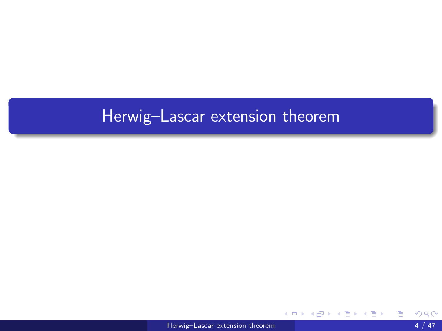# <span id="page-3-0"></span>Herwig–Lascar extension theorem

 $\leftarrow$ 

э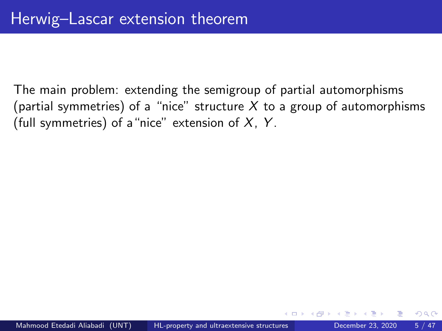The main problem: extending the semigroup of partial automorphisms (partial symmetries) of a "nice" structure  $X$  to a group of automorphisms (full symmetries) of a "nice" extension of  $X$ ,  $Y$ .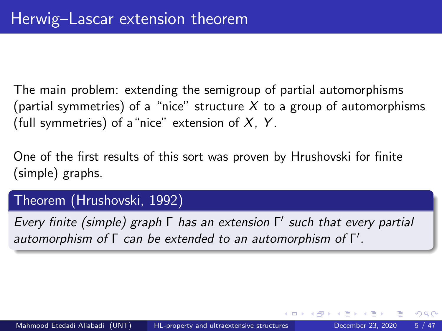The main problem: extending the semigroup of partial automorphisms (partial symmetries) of a "nice" structure X to a group of automorphisms (full symmetries) of a "nice" extension of  $X$ ,  $Y$ .

One of the first results of this sort was proven by Hrushovski for finite (simple) graphs.

### Theorem (Hrushovski, 1992)

Every finite (simple) graph Γ has an extension Γ 0 such that every partial automorphism of  $\Gamma$  can be extended to an automorphism of  $\Gamma'$ .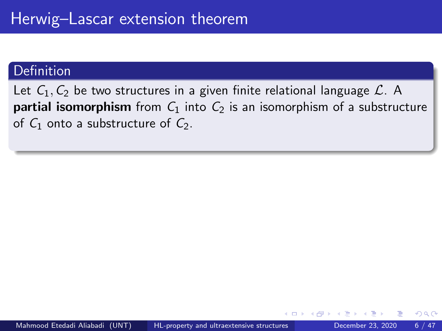Let  $C_1, C_2$  be two structures in a given finite relational language  $\mathcal{L}$ . A **partial isomorphism** from  $C_1$  into  $C_2$  is an isomorphism of a substructure of  $C_1$  onto a substructure of  $C_2$ .

つひひ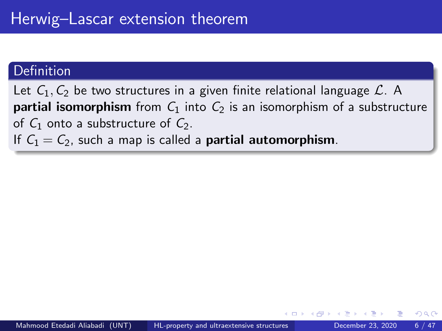Let  $C_1, C_2$  be two structures in a given finite relational language  $\mathcal{L}$ . A **partial isomorphism** from  $C_1$  into  $C_2$  is an isomorphism of a substructure of  $C_1$  onto a substructure of  $C_2$ .

If  $C_1 = C_2$ , such a map is called a **partial automorphism**.

つひひ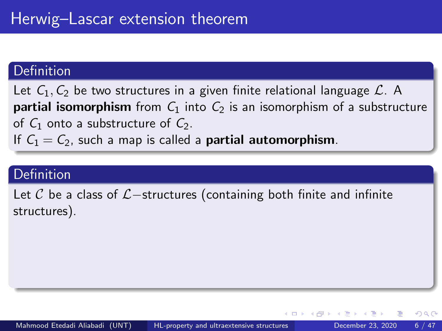Let  $C_1$ ,  $C_2$  be two structures in a given finite relational language  $\mathcal{L}$ . A **partial isomorphism** from  $C_1$  into  $C_2$  is an isomorphism of a substructure of  $C_1$  onto a substructure of  $C_2$ .

If  $C_1 = C_2$ , such a map is called a **partial automorphism**.

### Definition

Let C be a class of  $\mathcal{L}-$ structures (containing both finite and infinite structures).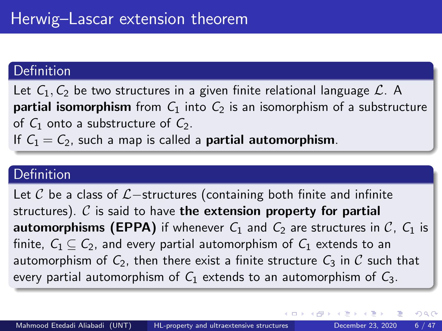Let  $C_1$ ,  $C_2$  be two structures in a given finite relational language  $\mathcal{L}$ . A **partial isomorphism** from  $C_1$  into  $C_2$  is an isomorphism of a substructure of  $C_1$  onto a substructure of  $C_2$ .

If  $C_1 = C_2$ , such a map is called a **partial automorphism**.

### Definition

Let C be a class of  $\mathcal{L}-$ structures (containing both finite and infinite structures).  $C$  is said to have the extension property for partial **automorphisms (EPPA)** if whenever  $C_1$  and  $C_2$  are structures in  $C_1$ ,  $C_1$  is finite,  $C_1 \subset C_2$ , and every partial automorphism of  $C_1$  extends to an automorphism of  $C_2$ , then there exist a finite structure  $C_3$  in C such that every partial automorphism of  $C_1$  extends to an automorphism of  $C_3$ .

 $QQ$ 

イロト イ押ト イヨト イヨト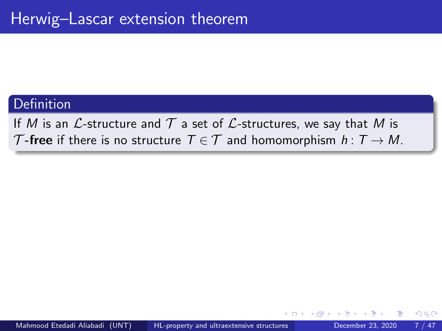If M is an  $\mathcal L$ -structure and  $\mathcal T$  a set of  $\mathcal L$ -structures, we say that M is T-free if there is no structure  $T \in \mathcal{T}$  and homomorphism  $h: T \to M$ .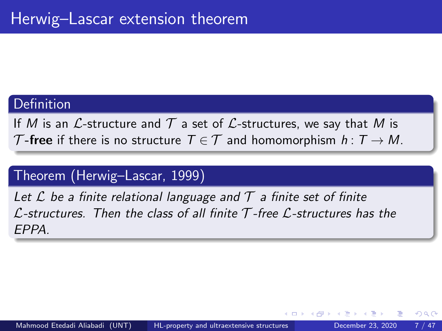If M is an L-structure and  $\mathcal T$  a set of L-structures, we say that M is T-free if there is no structure  $T \in \mathcal{T}$  and homomorphism  $h: T \to M$ .

### Theorem (Herwig–Lascar, 1999)

Let  $\mathcal L$  be a finite relational language and  $\mathcal T$  a finite set of finite  $\mathcal L$ -structures. Then the class of all finite  $\mathcal T$ -free  $\mathcal L$ -structures has the EPPA.

つひひ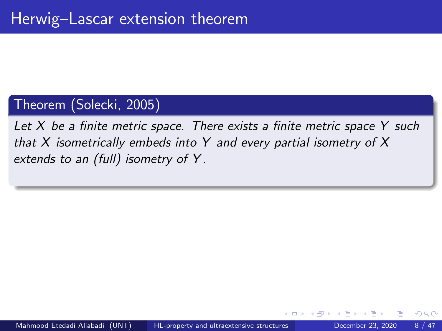Let  $X$  be a finite metric space. There exists a finite metric space  $Y$  such that X isometrically embeds into Y and every partial isometry of  $X$ extends to an (full) isometry of Y .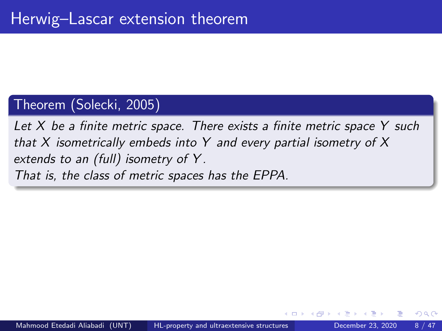Let  $X$  be a finite metric space. There exists a finite metric space  $Y$  such that X isometrically embeds into Y and every partial isometry of  $X$ extends to an (full) isometry of Y . That is, the class of metric spaces has the EPPA.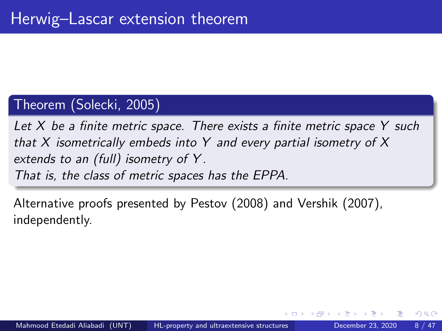Let  $X$  be a finite metric space. There exists a finite metric space  $Y$  such that X isometrically embeds into Y and every partial isometry of  $X$ extends to an (full) isometry of Y . That is, the class of metric spaces has the EPPA.

Alternative proofs presented by Pestov (2008) and Vershik (2007), independently.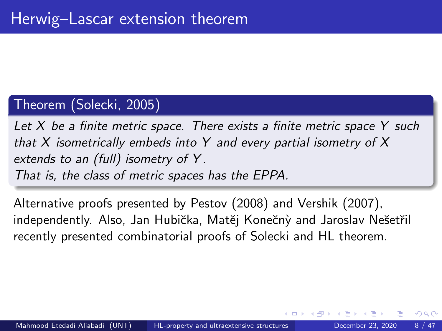Let  $X$  be a finite metric space. There exists a finite metric space  $Y$  such that  $X$  isometrically embeds into  $Y$  and every partial isometry of  $X$ extends to an (full) isometry of Y. That is, the class of metric spaces has the EPPA.

Alternative proofs presented by Pestov (2008) and Vershik (2007), independently. Also, Jan Hubička, Matěj Konečný and Jaroslav Nešetřil recently presented combinatorial proofs of Solecki and HL theorem.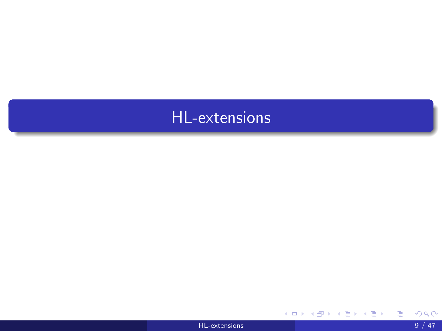

重

メロト メ都 トメ ヨ トメ ヨ ト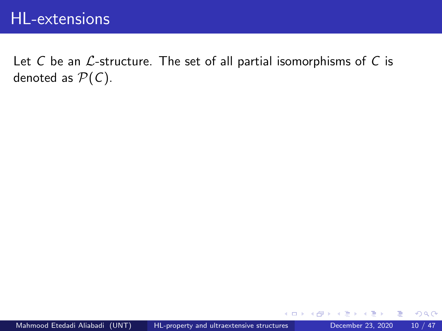Let  $C$  be an  $\mathcal{L}$ -structure. The set of all partial isomorphisms of  $C$  is denoted as  $P(C)$ .

э

4 **D** F

 $QQ$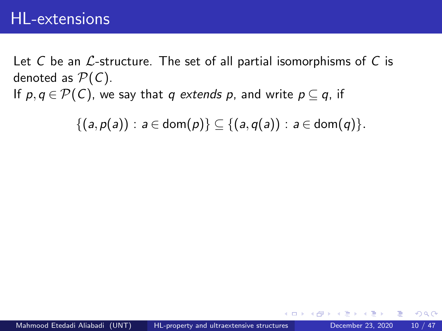Let C be an  $\mathcal{L}$ -structure. The set of all partial isomorphisms of C is denoted as  $P(C)$ . If  $p, q \in \mathcal{P}(\mathcal{C})$ , we say that q extends p, and write  $p \subseteq q$ , if

 $\{(a,p(a)) : a \in \text{dom}(p)\} \subseteq \{(a,q(a)) : a \in \text{dom}(q)\}.$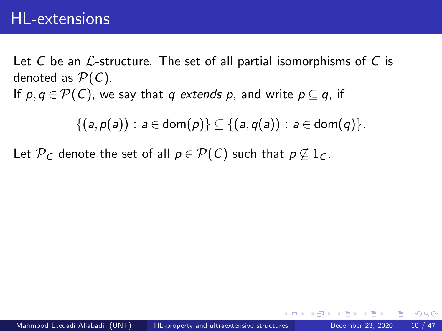Let C be an  $\mathcal{L}$ -structure. The set of all partial isomorphisms of C is denoted as  $P(C)$ . If  $p, q \in \mathcal{P}(\mathcal{C})$ , we say that q extends p, and write  $p \subseteq q$ , if

$$
\{(a,p(a)): a\in \mathsf{dom}(p)\}\subseteq \{(a,q(a)): a\in \mathsf{dom}(q)\}.
$$

Let  $\mathcal{P}_C$  denote the set of all  $p \in \mathcal{P}(C)$  such that  $p \nsubseteq 1_C$ .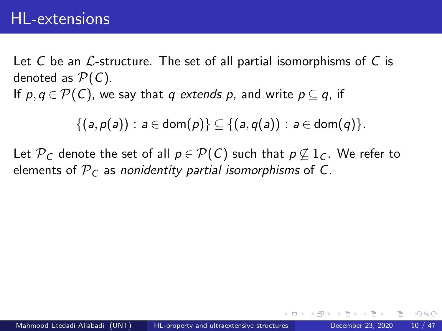Let C be an  $\mathcal{L}$ -structure. The set of all partial isomorphisms of C is denoted as  $P(C)$ . If  $p, q \in \mathcal{P}(\mathcal{C})$ , we say that q extends p, and write  $p \subset q$ , if

$$
\{(a,p(a)): a \in \text{dom}(p)\} \subseteq \{(a,q(a)): a \in \text{dom}(q)\}.
$$

Let  $\mathcal{P}_C$  denote the set of all  $p \in \mathcal{P}(C)$  such that  $p \nsubseteq 1_C$ . We refer to elements of  $P_C$  as nonidentity partial isomorphisms of C.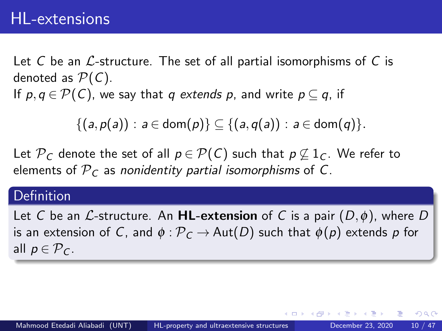Let C be an  $\mathcal{L}$ -structure. The set of all partial isomorphisms of C is denoted as  $P(C)$ . If  $p, q \in \mathcal{P}(\mathcal{C})$ , we say that q extends p, and write  $p \subset q$ , if

$$
\{(a,p(a)): a \in \text{dom}(p)\} \subseteq \{(a,q(a)): a \in \text{dom}(q)\}.
$$

Let  $\mathcal{P}_C$  denote the set of all  $p \in \mathcal{P}(C)$  such that  $p \not\subset 1_C$ . We refer to elements of  $P<sub>C</sub>$  as nonidentity partial isomorphisms of C.

#### **Definition**

Let C be an L-structure. An **HL-extension** of C is a pair  $(D, \phi)$ , where D is an extension of C, and  $\phi$ :  $\mathcal{P}_C \rightarrow$  Aut(D) such that  $\phi(p)$  extends p for all  $p \in \mathcal{P}_C$ .

つひひ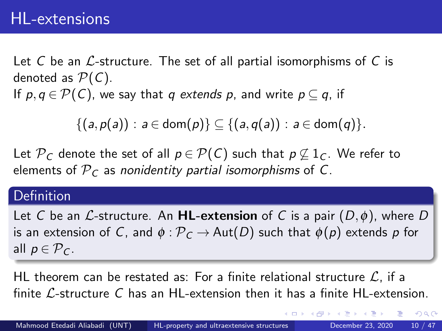Let C be an  $\mathcal{L}$ -structure. The set of all partial isomorphisms of C is denoted as  $P(C)$ . If  $p, q \in \mathcal{P}(\mathcal{C})$ , we say that q extends p, and write  $p \subset q$ , if

$$
\{(a,p(a)): a \in \text{dom}(p)\} \subseteq \{(a,q(a)): a \in \text{dom}(q)\}.
$$

Let  $\mathcal{P}_C$  denote the set of all  $p \in \mathcal{P}(C)$  such that  $p \not\subset 1_C$ . We refer to elements of  $P<sub>C</sub>$  as nonidentity partial isomorphisms of C.

#### **Definition**

Let C be an L-structure. An **HL-extension** of C is a pair  $(D, \phi)$ , where D is an extension of C, and  $\phi : \mathcal{P}_C \to \text{Aut}(D)$  such that  $\phi(p)$  extends p for all  $p \in \mathcal{P}_C$ .

HL theorem can be restated as: For a finite relational structure  $\mathcal{L}$ , if a finite  $\mathcal{L}$ -structure C has an HL-extension then it has a finite HL-extension.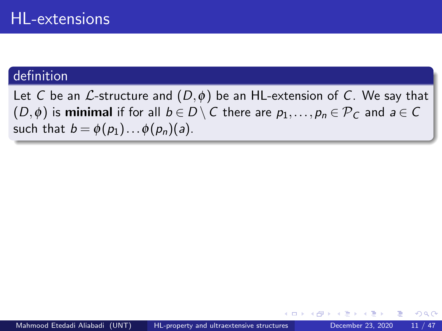Let C be an  $\mathcal L$ -structure and  $(D, \phi)$  be an HL-extension of C. We say that  $(D, \phi)$  is minimal if for all  $b \in D \setminus C$  there are  $p_1, \ldots, p_n \in \mathcal{P}_C$  and  $a \in C$ such that  $b = \phi(p_1) \dots \phi(p_n)(a)$ .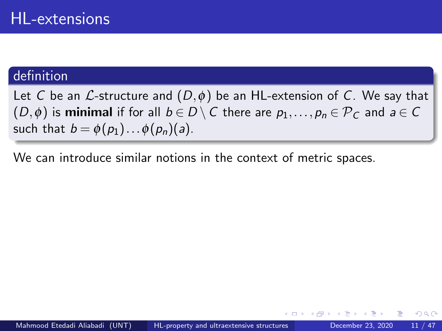Let C be an L-structure and  $(D, \phi)$  be an HL-extension of C. We say that  $(D,\phi)$  is minimal if for all  $b \in D \setminus C$  there are  $p_1,\ldots,p_n \in \mathcal{P}_C$  and  $a \in C$ such that  $b = \phi(p_1) \dots \phi(p_n)(a)$ .

We can introduce similar notions in the context of metric spaces.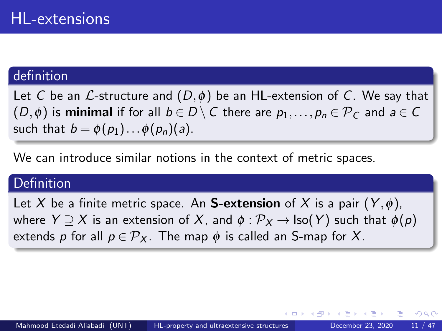Let C be an L-structure and  $(D, \phi)$  be an HL-extension of C. We say that  $(D, \phi)$  is minimal if for all  $b \in D \setminus C$  there are  $p_1, \ldots, p_n \in \mathcal{P}_C$  and  $a \in C$ such that  $b = \phi(p_1) \dots \phi(p_n)(a)$ .

We can introduce similar notions in the context of metric spaces.

### Definition

Let X be a finite metric space. An **S-extension** of X is a pair  $(Y, \phi)$ , where  $Y \supseteq X$  is an extension of X, and  $\phi : \mathcal{P}_X \to \text{Iso}(Y)$  such that  $\phi(p)$ extends p for all  $p \in \mathcal{P}_X$ . The map  $\phi$  is called an S-map for X.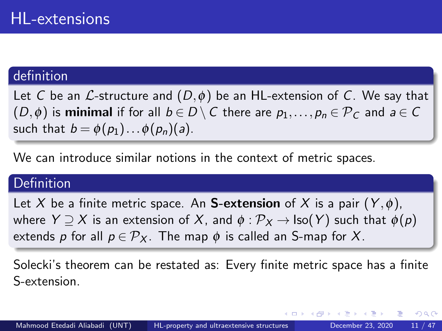Let C be an L-structure and  $(D, \phi)$  be an HL-extension of C. We say that  $(D, \phi)$  is minimal if for all  $b \in D \setminus C$  there are  $p_1, \ldots, p_n \in \mathcal{P}_C$  and  $a \in C$ such that  $b = \phi(p_1) \dots \phi(p_n)(a)$ .

We can introduce similar notions in the context of metric spaces.

### Definition

Let X be a finite metric space. An **S-extension** of X is a pair  $(Y, \phi)$ , where  $Y \supseteq X$  is an extension of X, and  $\phi : \mathcal{P}_X \to \text{Iso}(Y)$  such that  $\phi(p)$ extends p for all  $p \in \mathcal{P}_X$ . The map  $\phi$  is called an S-map for X.

Solecki's theorem can be restated as: Every finite metric space has a finite S-extension.

 $QQ$ 

 $\mathcal{A} \cap \mathcal{B} \rightarrow \mathcal{A} \ni \mathcal{B} \rightarrow \mathcal{A} \ni \mathcal{B} \rightarrow \mathcal{B}$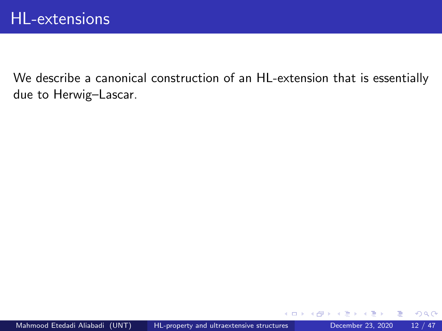4 D F

 $QQ$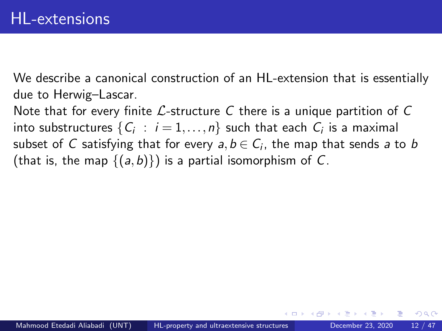Note that for every finite  $\mathcal{L}$ -structure C there is a unique partition of C into substructures  $\{ \mathcal{C}_i \ : \ i = 1, \dots, n \}$  such that each  $\mathcal{C}_i$  is a maximal subset of  $C$  satisfying that for every  $a,b\in C_i,$  the map that sends  $a$  to  $b$ (that is, the map  $\{(a,b)\}\)$  is a partial isomorphism of C.

つひひ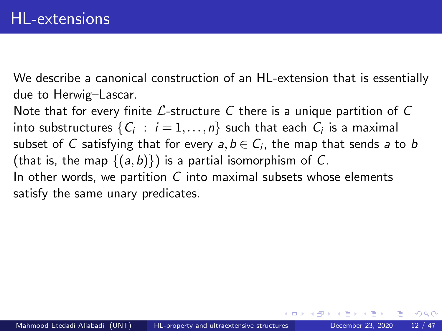Note that for every finite  $\mathcal{L}$ -structure C there is a unique partition of C into substructures  $\{ \mathcal{C}_i \ : \ i = 1, \dots, n \}$  such that each  $\mathcal{C}_i$  is a maximal subset of  $C$  satisfying that for every  $a,b\in C_i,$  the map that sends  $a$  to  $b$ (that is, the map  $\{(a,b)\}\)$  is a partial isomorphism of C. In other words, we partition  $C$  into maximal subsets whose elements satisfy the same unary predicates.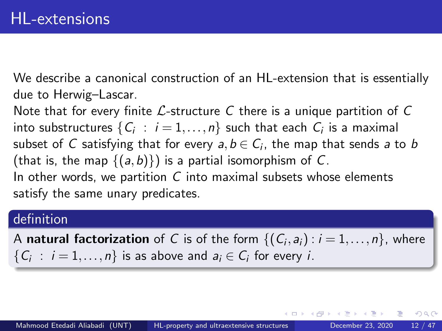Note that for every finite  $\mathcal{L}$ -structure C there is a unique partition of C into substructures  $\{ \mathcal{C}_i \ : \ i = 1, \dots, n \}$  such that each  $\mathcal{C}_i$  is a maximal subset of  $C$  satisfying that for every  $a,b\in C_i,$  the map that sends  $a$  to  $b$ (that is, the map  $\{(a,b)\}\)$  is a partial isomorphism of C. In other words, we partition  $C$  into maximal subsets whose elements satisfy the same unary predicates.

#### definition

A **natural factorization** of  $C$  is of the form  $\{(C_i, a_i): i = 1, \ldots, n\}$ , where  $\{C_i : i = 1, \ldots, n\}$  is as above and  $a_i \in C_i$  for every *i*.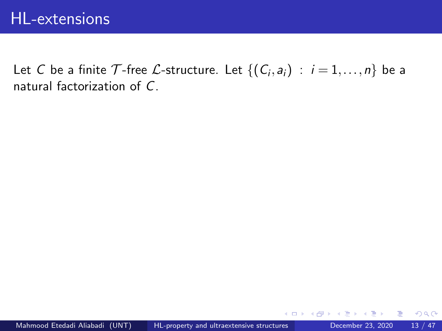Let C be a finite  $\mathcal T$ -free  $\mathcal L$ -structure. Let  $\{(\mathcal C_i, \mathsf a_i)\ :\ i=1,\ldots,n\}$  be a natural factorization of C.

 $299$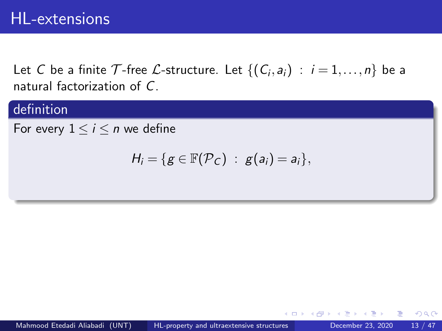Let C be a finite  $\mathcal T$ -free  $\mathcal L$ -structure. Let  $\{(\mathcal C_i, \mathsf a_i)\ :\ i=1,\ldots,n\}$  be a natural factorization of C.

### definition

For every  $1 \le i \le n$  we define

$$
H_i=\{g\in\mathbb{F}(\mathcal{P}_C)\;:\;g(a_i)=a_i\},\;
$$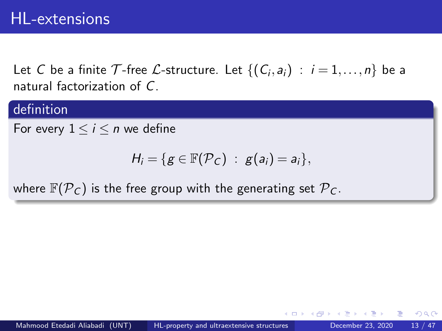Let C be a finite  $\mathcal T$ -free  $\mathcal L$ -structure. Let  $\{(\mathcal C_i, \mathsf a_i)\ :\ i=1,\ldots,n\}$  be a natural factorization of C.

#### definition

For every  $1 \leq i \leq n$  we define

$$
H_i=\{g\in\mathbb{F}(\mathcal{P}_C)\;:\;g(a_i)=a_i\},\;
$$

where  $\mathbb{F}(\mathcal{P}_C)$  is the free group with the generating set  $\mathcal{P}_C$ .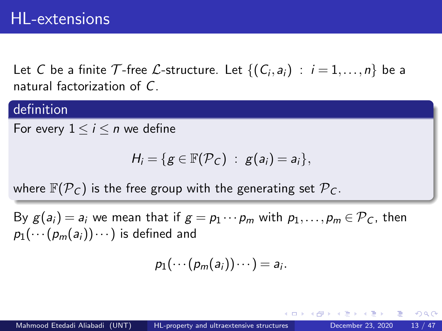Let C be a finite  $\mathcal T$ -free  $\mathcal L$ -structure. Let  $\{(\mathcal C_i, \mathsf a_i)\ :\ i=1,\ldots,n\}$  be a natural factorization of C.

#### definition

For every  $1 \leq i \leq n$  we define

$$
H_i=\{g\in\mathbb{F}(\mathcal{P}_C)\;:\;g(a_i)=a_i\},\;
$$

where  $\mathbb{F}(\mathcal{P}_C)$  is the free group with the generating set  $\mathcal{P}_C$ .

By  $g(a_i) = a_i$  we mean that if  $g = p_1 \cdots p_m$  with  $p_1, \ldots, p_m \in \mathcal{P}_C$ , then  $p_1(\cdots(p_m(a_i))\cdots)$  is defined and

$$
p_1(\cdots(p_m(a_i))\cdots)=a_i.
$$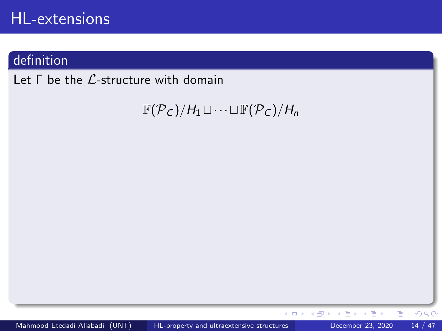## definition

Let Γ be the L-structure with domain

 $\mathbb{F}(\mathcal{P}_C)/H_1 \sqcup \cdots \sqcup \mathbb{F}(\mathcal{P}_C)/H_n$ 

×

Þ

4.0.3 4 母 ×

 $299$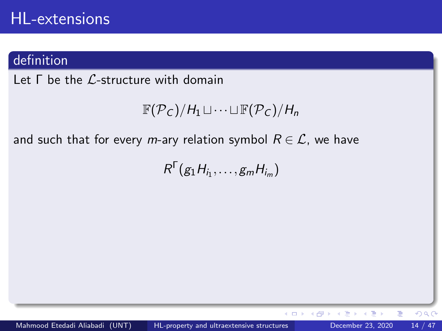#### definition

Let  $\Gamma$  be the *C*-structure with domain

```
\mathbb{F}(\mathcal{P}_C)/H_1 \sqcup \cdots \sqcup \mathbb{F}(\mathcal{P}_C)/H_n
```
and such that for every m-ary relation symbol  $R \in \mathcal{L}$ , we have

 $R^{\Gamma}(g_1H_{i_1},\ldots,g_mH_{i_m})$ 

 $QQ$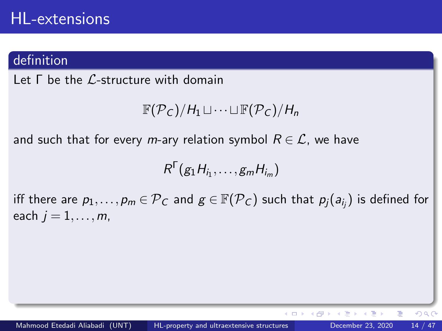#### definition

Let Γ be the L-structure with domain

```
\mathbb{F}(\mathcal{P}_C)/H_1 \sqcup \cdots \sqcup \mathbb{F}(\mathcal{P}_C)/H_n
```
and such that for every m-ary relation symbol  $R \in \mathcal{L}$ , we have

$$
R^{\Gamma}(g_1H_{i_1},\ldots,g_mH_{i_m})
$$

iff there are  $p_1,\ldots,p_m\in {\mathcal P}_C$  and  $g\in {\mathbb F}({\mathcal P}_C)$  such that  $p_j(a_{i_j})$  is defined for each  $j = 1, \ldots, m$ ,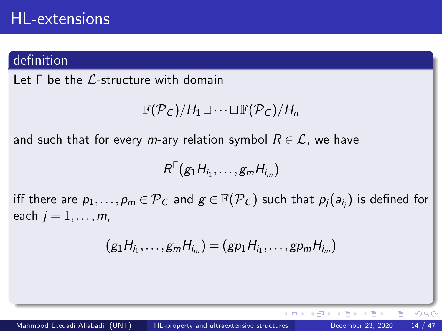#### definition

Let Γ be the L-structure with domain

$$
\mathbb{F}(\mathcal{P}_C)/H_1\sqcup\cdots\sqcup\mathbb{F}(\mathcal{P}_C)/H_n
$$

and such that for every m-ary relation symbol  $R \in \mathcal{L}$ , we have

$$
R^{\Gamma}(g_1H_{i_1},\ldots,g_mH_{i_m})
$$

iff there are  $p_1,\ldots,p_m\in {\mathcal P}_C$  and  $g\in {\mathbb F}({\mathcal P}_C)$  such that  $p_j(a_{i_j})$  is defined for each  $j = 1, \ldots, m$ ,

$$
(g_1H_{i_1},\ldots,g_mH_{i_m})=(gp_1H_{i_1},\ldots,gp_mH_{i_m})
$$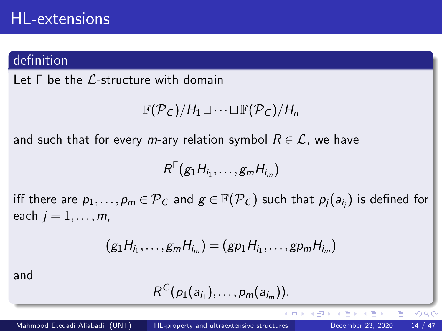#### definition

Let Γ be the L-structure with domain

$$
\mathbb{F}(\mathcal{P}_C)/H_1\sqcup\cdots\sqcup\mathbb{F}(\mathcal{P}_C)/H_n
$$

and such that for every m-ary relation symbol  $R \in \mathcal{L}$ , we have

$$
R^{\Gamma}(g_1H_{i_1},\ldots,g_mH_{i_m})
$$

iff there are  $p_1,\ldots,p_m\in {\mathcal P}_C$  and  $g\in {\mathbb F}({\mathcal P}_C)$  such that  $p_j(a_{i_j})$  is defined for each  $j = 1, \ldots, m$ ,

$$
(g_1H_{i_1},\ldots,g_mH_{i_m})=(gp_1H_{i_1},\ldots,gp_mH_{i_m})
$$

and

$$
R^C(p_1(a_{i_1}),\ldots,p_m(a_{i_m})).
$$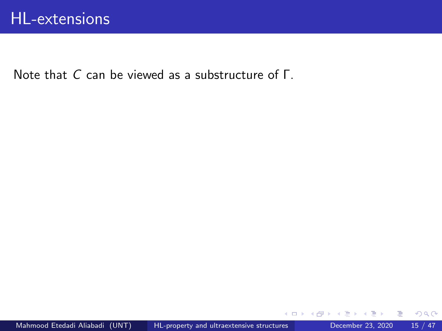Note that C can be viewed as a substructure of Γ.

э

4 D F

 $299$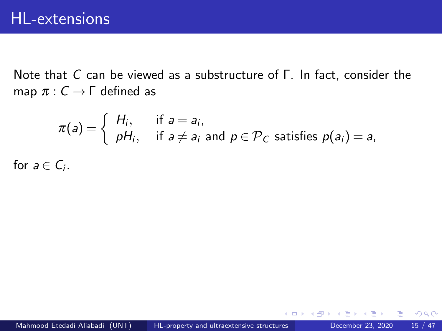Note that C can be viewed as a substructure of Γ. In fact, consider the map  $\pi: C \to \Gamma$  defined as

$$
\pi(a) = \begin{cases} H_i, & \text{if } a = a_i, \\ pH_i, & \text{if } a \neq a_i \text{ and } p \in \mathcal{P}_C \text{ satisfies } p(a_i) = a, \end{cases}
$$

for  $a \in C_i$ .

4 D F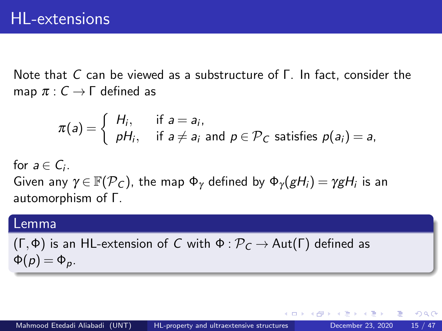Note that C can be viewed as a substructure of Γ. In fact, consider the map  $\pi: C \to \Gamma$  defined as

$$
\pi(a) = \begin{cases} H_i, & \text{if } a = a_i, \\ pH_i, & \text{if } a \neq a_i \text{ and } p \in \mathcal{P}_C \text{ satisfies } p(a_i) = a, \end{cases}
$$

for  $a \in C_i$ . Given any  $\gamma\!\in\!\mathbb{F}(\mathcal{P}_\mathcal{C})$ , the map  $\Phi_\gamma$  defined by  $\Phi_\gamma(gH_i)=\gamma gH_i$  is an automorphism of Γ.

#### Lemma

(Γ,Φ) is an HL-extension of C with  $\Phi : \mathcal{P}_C \to \text{Aut}(\Gamma)$  defined as  $\Phi(p) = \Phi_p$ .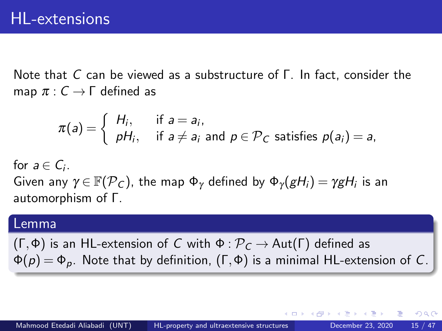Note that C can be viewed as a substructure of Γ. In fact, consider the map  $\pi: C \to \Gamma$  defined as

$$
\pi(a) = \begin{cases} H_i, & \text{if } a = a_i, \\ pH_i, & \text{if } a \neq a_i \text{ and } p \in \mathcal{P}_C \text{ satisfies } p(a_i) = a, \end{cases}
$$

for  $a \in C_i$ . Given any  $\gamma\!\in\!\mathbb{F}(\mathcal{P}_\mathcal{C})$ , the map  $\Phi_\gamma$  defined by  $\Phi_\gamma(gH_i)=\gamma gH_i$  is an automorphism of Γ.

#### Lemma

(Γ,Φ) is an HL-extension of C with  $\Phi : \mathcal{P}_C \to \text{Aut}(\Gamma)$  defined as  $\Phi(p) = \Phi_p$ . Note that by definition,  $(\Gamma, \Phi)$  is a minimal HL-extension of C.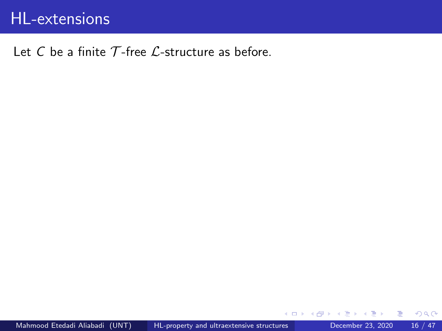#### Let C be a finite  $\mathcal T$ -free  $\mathcal L$ -structure as before.

4 D F

画

 $298$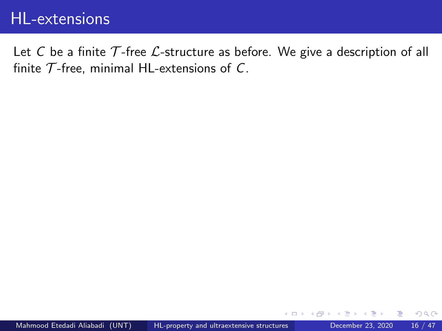Let C be a finite  $\mathcal T$ -free  $\mathcal L$ -structure as before. We give a description of all finite  $\mathcal T$ -free, minimal HL-extensions of C.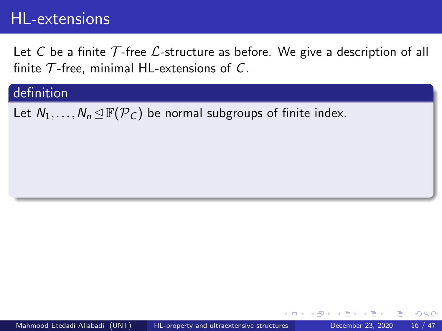Let C be a finite  $\mathcal T$ -free  $\mathcal L$ -structure as before. We give a description of all finite  $\mathcal T$ -free, minimal HL-extensions of C.

#### definition

Let  $N_1,\ldots,N_n \trianglelefteq \mathbb{F}(\mathcal{P}_C)$  be normal subgroups of finite index.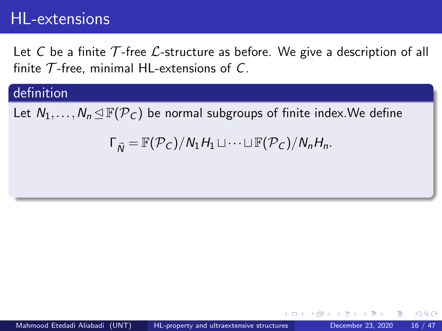Let C be a finite T-free  $\mathcal{L}$ -structure as before. We give a description of all finite  $\mathcal T$ -free, minimal HL-extensions of C.

#### definition

Let  $N_1,\ldots,N_n \trianglelefteq \mathbb{F}(\mathcal{P}_C)$  be normal subgroups of finite index. We define

 $\Gamma_{\vec{N}} = \mathbb{F}(\mathcal{P}_C)/N_1H_1 \sqcup \cdots \sqcup \mathbb{F}(\mathcal{P}_C)/N_nH_n.$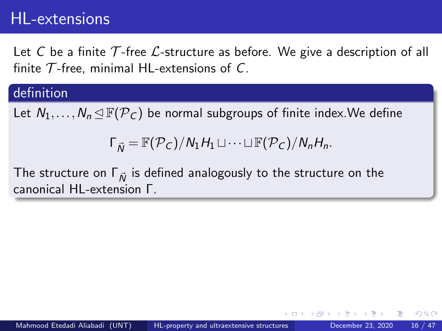Let C be a finite T-free  $\mathcal{L}$ -structure as before. We give a description of all finite  $\mathcal T$ -free, minimal HL-extensions of C.

#### definition

Let  $N_1,\ldots,N_n \trianglelefteq \mathbb{F}(\mathcal{P}_C)$  be normal subgroups of finite index. We define

 $\Gamma_{\vec{N}} = \mathbb{F}(\mathcal{P}_C)/N_1H_1 \sqcup \cdots \sqcup \mathbb{F}(\mathcal{P}_C)/N_nH_n.$ 

The structure on  $\Gamma_{\vec{N}}$  is defined analogously to the structure on the canonical HL-extension Γ.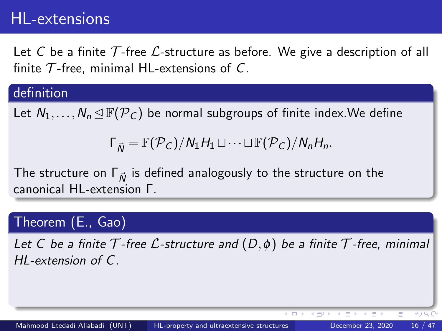Let C be a finite T-free  $\mathcal{L}$ -structure as before. We give a description of all finite  $\mathcal T$ -free, minimal HL-extensions of C.

#### definition

Let  $N_1,\ldots,N_n \trianglelefteq \mathbb{F}(\mathcal{P}_C)$  be normal subgroups of finite index. We define

 $\Gamma_{\vec{N}} = \mathbb{F}(\mathcal{P}_C)/N_1H_1 \sqcup \cdots \sqcup \mathbb{F}(\mathcal{P}_C)/N_nH_n.$ 

The structure on  $\Gamma_{\vec{N}}$  is defined analogously to the structure on the canonical HL-extension Γ.

### Theorem (E., Gao)

Let C be a finite  $\mathcal T$ -free  $\mathcal L$ -structure and  $(D, \phi)$  be a finite  $\mathcal T$ -free, minimal HL-extension of C.

 $419C$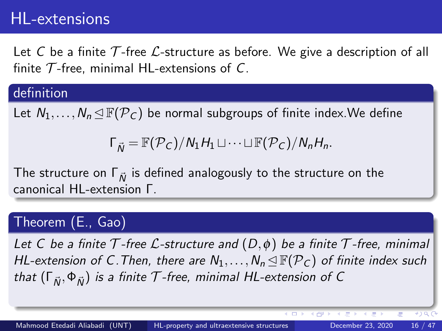Let C be a finite T-free  $\mathcal{L}$ -structure as before. We give a description of all finite  $\mathcal T$ -free, minimal HL-extensions of C.

#### definition

Let  $N_1,\ldots,N_n \trianglelefteq \mathbb{F}(\mathcal{P}_C)$  be normal subgroups of finite index. We define

 $\Gamma_{\vec{N}} = \mathbb{F}(\mathcal{P}_C)/N_1H_1 \sqcup \cdots \sqcup \mathbb{F}(\mathcal{P}_C)/N_nH_n.$ 

The structure on  $\Gamma_{\vec{N}}$  is defined analogously to the structure on the canonical HL-extension Γ.

### Theorem (E., Gao)

Let C be a finite  $\mathcal T$ -free  $\mathcal L$ -structure and  $(D, \phi)$  be a finite  $\mathcal T$ -free, minimal HL-extension of C. Then, there are  $N_1, \ldots, N_n \triangleleft \mathbb{F}(\mathcal{P}_C)$  of finite index such that  $(\Gamma_{\vec{N}}, \Phi_{\vec{N}})$  is a finite T-free, minimal HL-extension of C

4 円 ト 4

 $419C$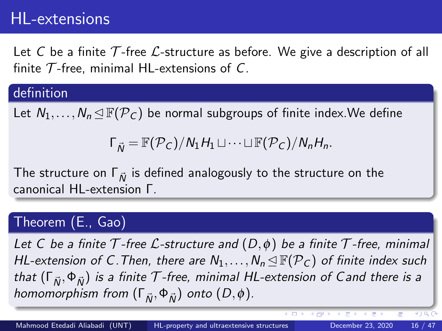Let C be a finite T-free  $\mathcal{L}$ -structure as before. We give a description of all finite  $\mathcal T$ -free, minimal HL-extensions of C.

#### definition

Let  $N_1,\ldots,N_n \trianglelefteq \mathbb{F}(\mathcal{P}_C)$  be normal subgroups of finite index. We define

 $\Gamma_{\vec{N}} = \mathbb{F}(\mathcal{P}_C)/N_1H_1 \sqcup \cdots \sqcup \mathbb{F}(\mathcal{P}_C)/N_nH_n.$ 

The structure on  $\Gamma_{\vec{N}}$  is defined analogously to the structure on the canonical HL-extension Γ.

### Theorem (E., Gao)

Let C be a finite  $\mathcal T$ -free  $\mathcal L$ -structure and  $(D, \phi)$  be a finite  $\mathcal T$ -free, minimal HL-extension of C. Then, there are  $N_1, \ldots, N_n \triangleleft \mathbb{F}(\mathcal{P}_C)$  of finite index such that  $(\Gamma_{\vec{N}}, \Phi_{\vec{N}})$  is a finite T-free, minimal HL-extension of Cand there is a homomorphism from  $(\Gamma_{\vec{N}}, \Phi_{\vec{N}})$  onto  $(D, \phi)$ .

 $(4)$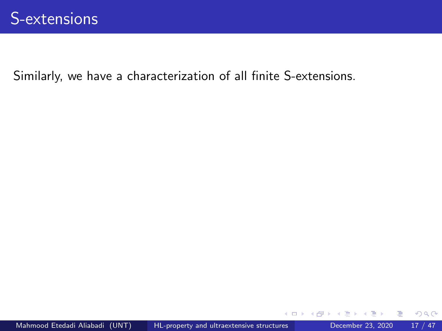Similarly, we have a characterization of all finite S-extensions.

÷

4 D F

 $298$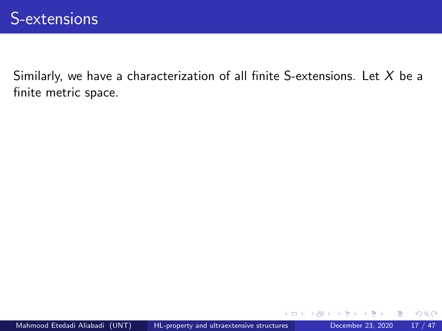Similarly, we have a characterization of all finite S-extensions. Let  $X$  be a finite metric space.

4 D F

 $299$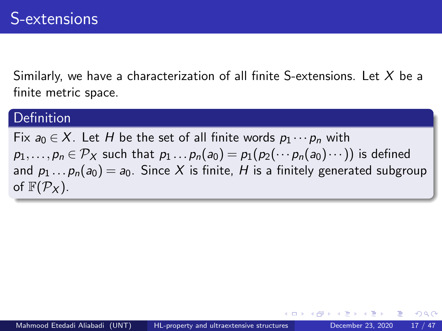Similarly, we have a characterization of all finite S-extensions. Let  $X$  be a finite metric space.

#### **Definition**

Fix  $a_0 \in X$ . Let H be the set of all finite words  $p_1 \cdots p_n$  with  $p_1,\ldots,p_n\in \mathcal{P}_X$  such that  $p_1\ldots p_n(a_0)=p_1(p_2(\cdots p_n(a_0)\cdots))$  is defined and  $p_1 \dots p_n(a_0) = a_0$ . Since X is finite, H is a finitely generated subgroup of  $\mathbb{F}(\mathcal{P}_X)$ .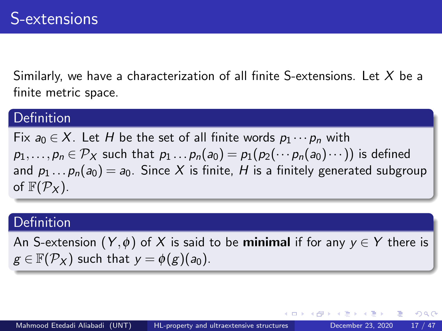Similarly, we have a characterization of all finite S-extensions. Let  $X$  be a finite metric space.

#### **Definition**

Fix  $a_0 \in X$ . Let H be the set of all finite words  $p_1 \cdots p_n$  with  $p_1,\ldots,p_n\in \mathcal{P}_X$  such that  $p_1\ldots p_n(a_0)=p_1(p_2(\cdots p_n(a_0)\cdots))$  is defined and  $p_1 \dots p_n(a_0) = a_0$ . Since X is finite, H is a finitely generated subgroup of  $\mathbb{F}(\mathcal{P}_X)$ .

#### Definition

An S-extension  $(Y, \phi)$  of X is said to be **minimal** if for any  $y \in Y$  there is  $g \in \mathbb{F}(\mathcal{P}_X)$  such that  $y = \phi(g)(a_0)$ .

つへへ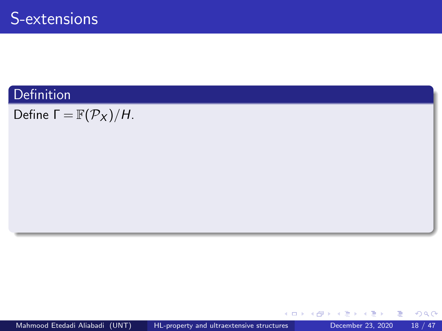Define  $\Gamma = \mathbb{F}(\mathcal{P}_X)/H$ .

 $\mathcal{A} \cap \mathbb{P} \rightarrow \mathcal{A} \ni \mathcal{B} \rightarrow \mathcal{A} \ni \mathcal{B} \rightarrow \mathcal{B}$ 

4 0 8

重

 $299$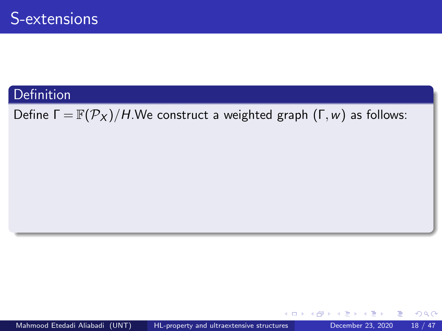Define  $\Gamma = \mathbb{F}(\mathcal{P}_X)/H$ . We construct a weighted graph  $(\Gamma, w)$  as follows:

 $\mathbf{A} \oplus \mathbf{B}$   $\mathbf{A} \oplus \mathbf{B}$   $\mathbf{A} \oplus \mathbf{B}$ 

4 D F

造

 $298$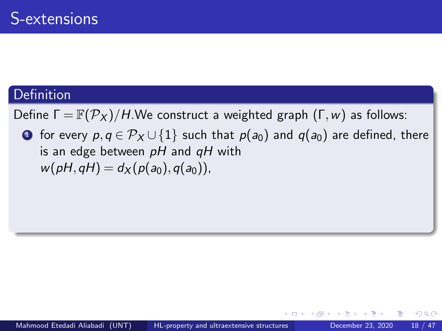Define  $\Gamma = \mathbb{F}(\mathcal{P}_X)/H$ . We construct a weighted graph  $(\Gamma, w)$  as follows:

**1** for every  $p, q \in \mathcal{P}_X \cup \{1\}$  such that  $p(a_0)$  and  $q(a_0)$  are defined, there is an edge between  $pH$  and  $qH$  with  $w(pH, qH) = d_X(p(a_0), q(a_0)),$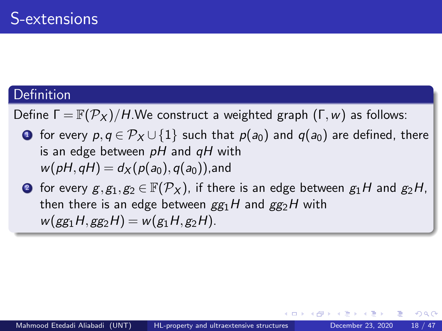Define  $\Gamma = \mathbb{F}(\mathcal{P}_X)/H$ . We construct a weighted graph  $(\Gamma, w)$  as follows:

**1** for every  $p, q \in \mathcal{P}_X \cup \{1\}$  such that  $p(a_0)$  and  $q(a_0)$  are defined, there is an edge between  $pH$  and  $qH$  with  $w(pH,qH) = d_X(p(a_0),q(a_0))$ , and

**■** for every  $g, g_1, g_2 \in \mathbb{F}(\mathcal{P}_X)$ , if there is an edge between  $g_1H$  and  $g_2H$ , then there is an edge between  $gg_1H$  and  $gg_2H$  with  $w(gg_1H,gg_2H) = w(g_1H,g_2H).$ 

つへへ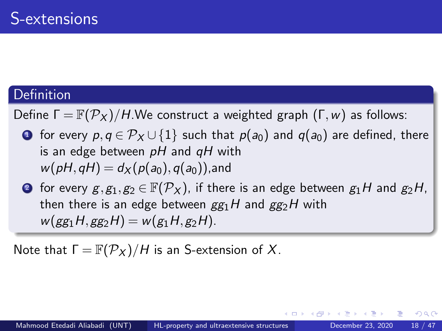Define  $\Gamma = \mathbb{F}(\mathcal{P}_X)/H$ . We construct a weighted graph  $(\Gamma, w)$  as follows:

**1** for every  $p, q \in \mathcal{P}_X \cup \{1\}$  such that  $p(a_0)$  and  $q(a_0)$  are defined, there is an edge between  $pH$  and  $qH$  with  $w(pH,qH) = d_X(p(a_0),q(a_0))$ , and

**■** for every  $g, g_1, g_2 \in \mathbb{F}(\mathcal{P}_X)$ , if there is an edge between  $g_1H$  and  $g_2H$ , then there is an edge between  $gg_1H$  and  $gg_2H$  with  $w(gg_1H,gg_2H) = w(g_1H,g_2H).$ 

Note that  $\Gamma = \mathbb{F}(\mathcal{P}_X)/H$  is an S-extension of X.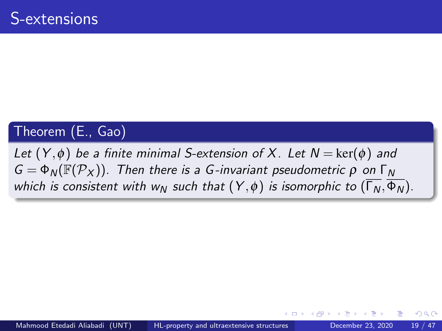### Theorem (E., Gao)

Let  $(Y, \phi)$  be a finite minimal S-extension of X. Let  $N = \text{ker}(\phi)$  and  $G = \Phi_N(\mathbb{F}(\mathcal{P}_X))$ . Then there is a G-invariant pseudometric  $\rho$  on  $\Gamma_N$ which is consistent with w<sub>N</sub> such that  $(Y, \phi)$  is isomorphic to  $(\overline{\Gamma_N}, \overline{\Phi_N})$ .

つひひ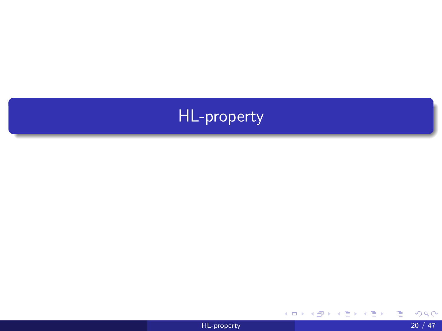

重

メロトメ 伊 トメ 君 トメ 君 ト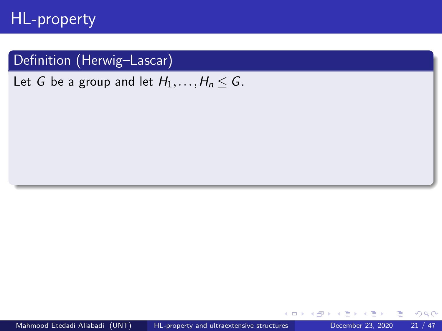### Definition (Herwig–Lascar)

Let G be a group and let  $H_1, \ldots, H_n \leq G$ .

 $\leftarrow$ 

 $QQ$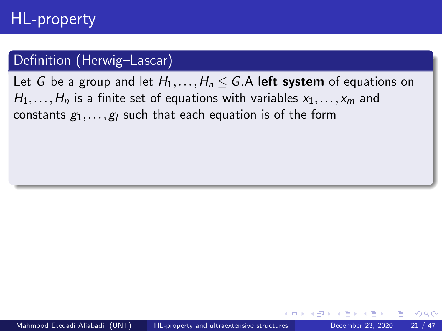### Definition (Herwig–Lascar)

Let G be a group and let  $H_1, \ldots, H_n \leq G$ . A left system of equations on  $H_1, \ldots, H_n$  is a finite set of equations with variables  $x_1, \ldots, x_m$  and constants  $g_1, \ldots, g_l$  such that each equation is of the form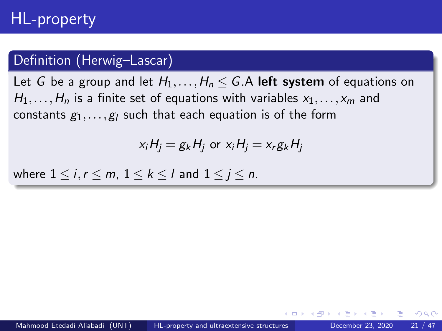#### Definition (Herwig–Lascar)

Let G be a group and let  $H_1, \ldots, H_n \leq G$ . A left system of equations on  $H_1, \ldots, H_n$  is a finite set of equations with variables  $x_1, \ldots, x_m$  and constants  $g_1, \ldots, g_l$  such that each equation is of the form

$$
x_iH_j = g_kH_j \text{ or } x_iH_j = x_rg_kH_j
$$

where  $1 \le i, r \le m, 1 \le k \le l$  and  $1 \le i \le n$ .

つひひ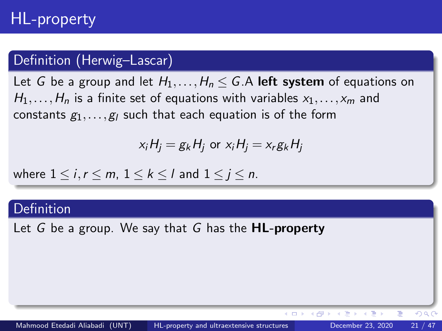### Definition (Herwig–Lascar)

Let G be a group and let  $H_1, \ldots, H_n \leq G$ . A left system of equations on  $H_1, \ldots, H_n$  is a finite set of equations with variables  $x_1, \ldots, x_m$  and constants  $g_1, \ldots, g_l$  such that each equation is of the form

$$
x_iH_j = g_kH_j \text{ or } x_iH_j = x_rg_kH_j
$$

where  $1 \le i, r \le m, 1 \le k \le l$  and  $1 \le i \le n$ .

#### Definition

Let G be a group. We say that G has the  $HL$ -property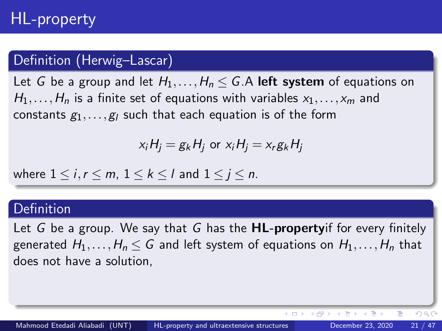### Definition (Herwig–Lascar)

Let G be a group and let  $H_1, \ldots, H_n \leq G$ . A left system of equations on  $H_1, \ldots, H_n$  is a finite set of equations with variables  $x_1, \ldots, x_m$  and constants  $g_1, \ldots, g_l$  such that each equation is of the form

$$
x_iH_j = g_kH_j \text{ or } x_iH_j = x_rg_kH_j
$$

where  $1 \le i, r \le m, 1 \le k \le l$  and  $1 \le i \le n$ .

#### Definition

Let G be a group. We say that G has the  $HL$ -propertyif for every finitely generated  $H_1,\ldots,H_n \leq G$  and left system of equations on  $H_1,\ldots,H_n$  that does not have a solution,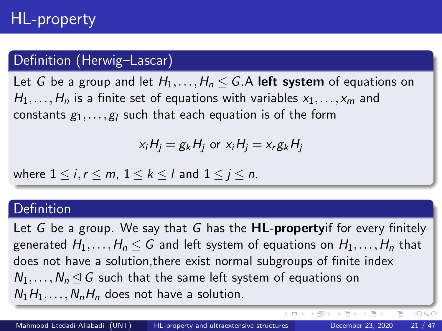### Definition (Herwig–Lascar)

Let G be a group and let  $H_1, \ldots, H_n \leq G$ . A left system of equations on  $H_1, \ldots, H_n$  is a finite set of equations with variables  $x_1, \ldots, x_m$  and constants  $g_1, \ldots, g_l$  such that each equation is of the form

$$
x_iH_j = g_kH_j \text{ or } x_iH_j = x_rg_kH_j
$$

where  $1 \le i, r \le m, 1 \le k \le l$  and  $1 \le i \le n$ .

#### Definition

Let G be a group. We say that G has the  $HL$ -propertyif for every finitely generated  $H_1,\ldots,H_n\leq G$  and left system of equations on  $H_1,\ldots,H_n$  that does not have a solution,there exist normal subgroups of finite index  $N_1,\ldots,N_n \lhd G$  such that the same left system of equations on  $N_1H_1,\ldots,N_nH_n$  does not have a solution.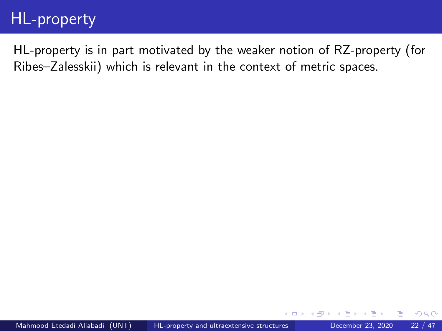HL-property is in part motivated by the weaker notion of RZ-property (for Ribes–Zalesskii) which is relevant in the context of metric spaces.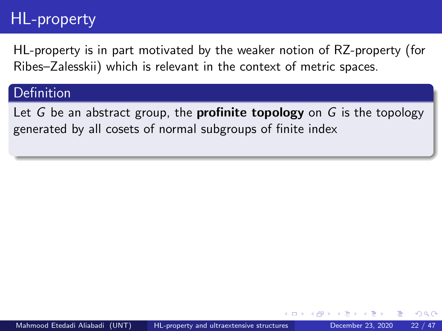HL-property is in part motivated by the weaker notion of RZ-property (for Ribes–Zalesskii) which is relevant in the context of metric spaces.

### Definition

Let G be an abstract group, the **profinite topology** on G is the topology generated by all cosets of normal subgroups of finite index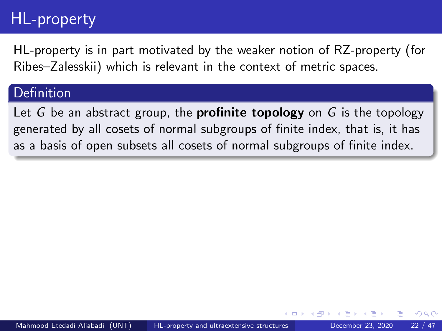HL-property is in part motivated by the weaker notion of RZ-property (for Ribes–Zalesskii) which is relevant in the context of metric spaces.

#### Definition

Let G be an abstract group, the **profinite topology** on G is the topology generated by all cosets of normal subgroups of finite index, that is, it has as a basis of open subsets all cosets of normal subgroups of finite index.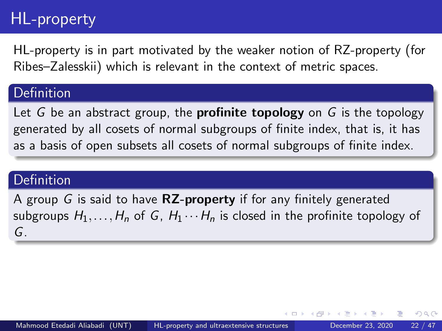HL-property is in part motivated by the weaker notion of RZ-property (for Ribes–Zalesskii) which is relevant in the context of metric spaces.

#### Definition

Let G be an abstract group, the **profinite topology** on G is the topology generated by all cosets of normal subgroups of finite index, that is, it has as a basis of open subsets all cosets of normal subgroups of finite index.

#### **Definition**

A group G is said to have  $RZ$ -property if for any finitely generated subgroups  $H_1, \ldots, H_n$  of G,  $H_1 \cdots H_n$  is closed in the profinite topology of G.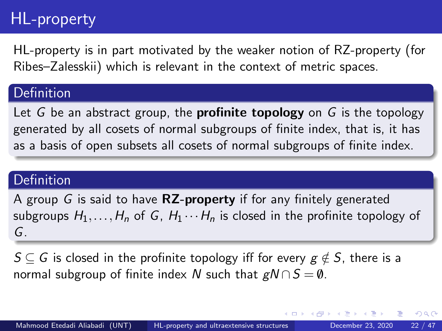HL-property is in part motivated by the weaker notion of RZ-property (for Ribes–Zalesskii) which is relevant in the context of metric spaces.

#### Definition

Let G be an abstract group, the **profinite topology** on G is the topology generated by all cosets of normal subgroups of finite index, that is, it has as a basis of open subsets all cosets of normal subgroups of finite index.

#### Definition

A group G is said to have  $RZ$ -property if for any finitely generated subgroups  $H_1, \ldots, H_n$  of G,  $H_1 \cdots H_n$  is closed in the profinite topology of G.

 $S \subseteq G$  is closed in the profinite topology iff for every  $g \notin S$ , there is a normal subgroup of finite index N such that  $gN \cap S = \emptyset$ .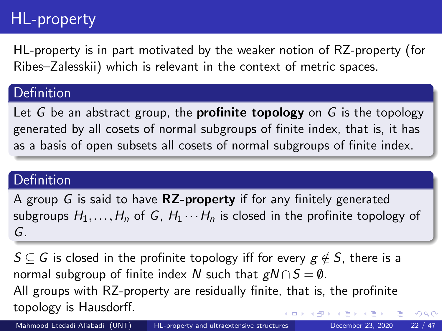HL-property is in part motivated by the weaker notion of RZ-property (for Ribes–Zalesskii) which is relevant in the context of metric spaces.

### Definition

Let G be an abstract group, the **profinite topology** on G is the topology generated by all cosets of normal subgroups of finite index, that is, it has as a basis of open subsets all cosets of normal subgroups of finite index.

#### Definition

A group G is said to have  $RZ$ -property if for any finitely generated subgroups  $H_1, \ldots, H_n$  of G,  $H_1 \cdots H_n$  is closed in the profinite topology of G.

 $S \subseteq G$  is closed in the profinite topology iff for every  $g \notin S$ , there is a normal subgroup of finite index N such that  $gN \cap S = \emptyset$ . All groups with RZ-property are residually finite, that is, the profinite topology is Hausdorff. ( ロ ) - ( *同* ) - ( ヨ ) - (

 $QQ$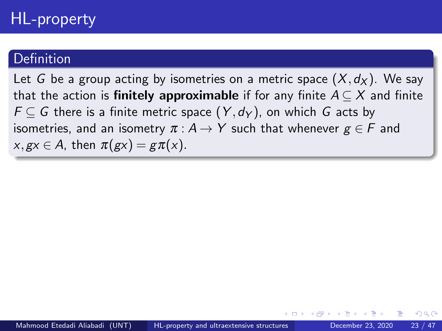Let G be a group acting by isometries on a metric space  $(X, d_X)$ . We say that the action is **finitely approximable** if for any finite  $A \subseteq X$  and finite  $F \subseteq G$  there is a finite metric space  $(Y, d_Y)$ , on which G acts by isometries, and an isometry  $\pi : A \rightarrow Y$  such that whenever  $g \in F$  and  $x, gx \in A$ , then  $\pi(gx) = g\pi(x)$ .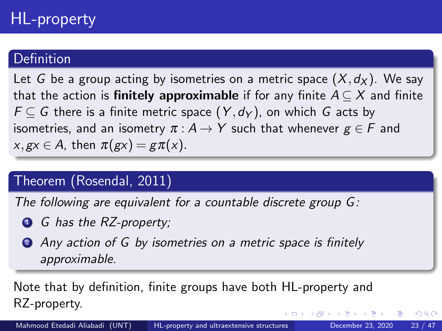Let G be a group acting by isometries on a metric space  $(X, d_X)$ . We say that the action is **finitely approximable** if for any finite  $A \subseteq X$  and finite  $F \subset G$  there is a finite metric space  $(Y, d_Y)$ , on which G acts by isometries, and an isometry  $\pi : A \rightarrow Y$  such that whenever  $g \in F$  and  $x, gx \in A$ , then  $\pi(gx) = g\pi(x)$ .

## Theorem (Rosendal, 2011)

The following are equivalent for a countable discrete group G:

- **1** G has the RZ-property;
- 2 Any action of G by isometries on a metric space is finitely approximable.

Note that by definition, finite groups have both HL-property and RZ-property. 正々 メラメ

 $QQ$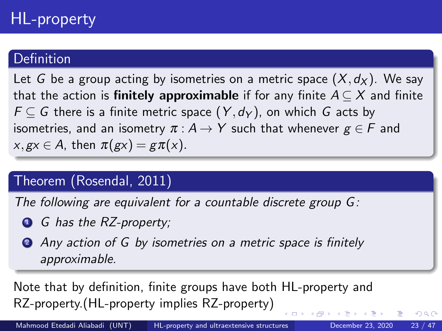Let G be a group acting by isometries on a metric space  $(X, d_X)$ . We say that the action is **finitely approximable** if for any finite  $A \subseteq X$  and finite  $F \subset G$  there is a finite metric space  $(Y, d_Y)$ , on which G acts by isometries, and an isometry  $\pi : A \rightarrow Y$  such that whenever  $g \in F$  and  $x, gx \in A$ , then  $\pi(gx) = g\pi(x)$ .

## Theorem (Rosendal, 2011)

The following are equivalent for a countable discrete group G:

- **1** G has the RZ-property;
- 2 Any action of G by isometries on a metric space is finitely approximable.

Note that by definition, finite groups have both HL-property and RZ-property.(HL-property implies RZ-property)

 $QQ$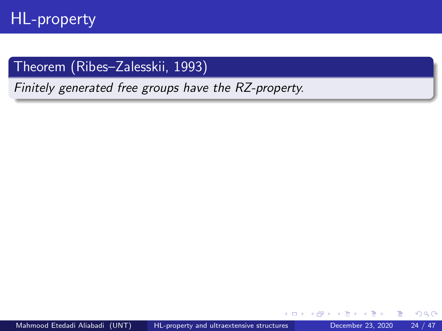## Theorem (Ribes–Zalesskii, 1993)

Finitely generated free groups have the RZ-property.

 $\Box$ 

 $299$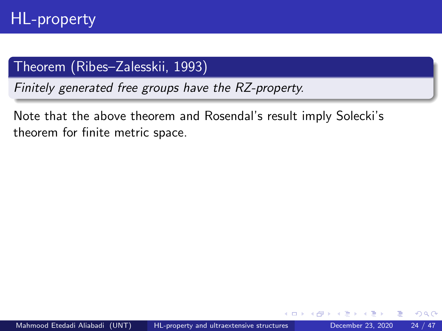Finitely generated free groups have the RZ-property.

Note that the above theorem and Rosendal's result imply Solecki's theorem for finite metric space.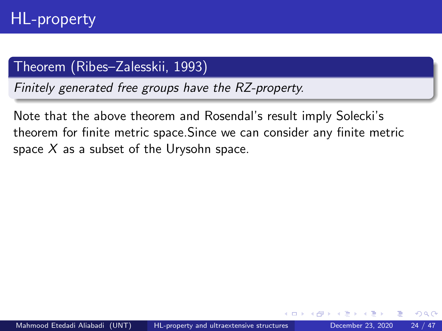Finitely generated free groups have the RZ-property.

Note that the above theorem and Rosendal's result imply Solecki's theorem for finite metric space.Since we can consider any finite metric space  $X$  as a subset of the Urysohn space.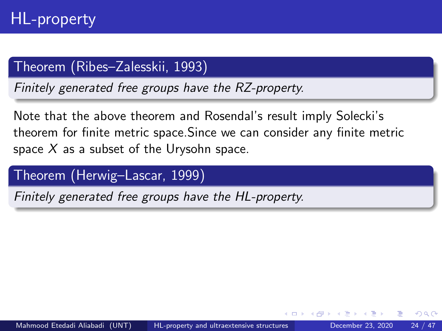Finitely generated free groups have the RZ-property.

Note that the above theorem and Rosendal's result imply Solecki's theorem for finite metric space.Since we can consider any finite metric space  $X$  as a subset of the Urysohn space.

Theorem (Herwig–Lascar, 1999)

Finitely generated free groups have the HL-property.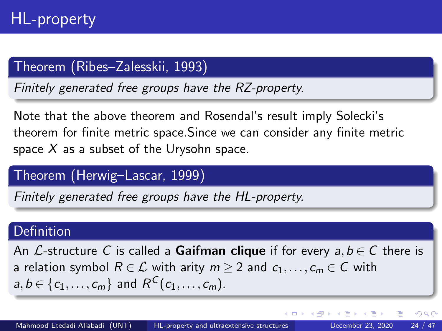Finitely generated free groups have the RZ-property.

Note that the above theorem and Rosendal's result imply Solecki's theorem for finite metric space.Since we can consider any finite metric space  $X$  as a subset of the Urysohn space.

#### Theorem (Herwig–Lascar, 1999)

Finitely generated free groups have the HL-property.

#### **Definition**

An L-structure C is called a **Gaifman clique** if for every  $a, b \in C$  there is a relation symbol  $R \in \mathcal{L}$  with arity  $m \geq 2$  and  $c_1, \ldots, c_m \in \mathcal{C}$  with  $a,b \in \{c_1,\ldots,c_m\}$  and  $R^C(c_1,\ldots,c_m)$ .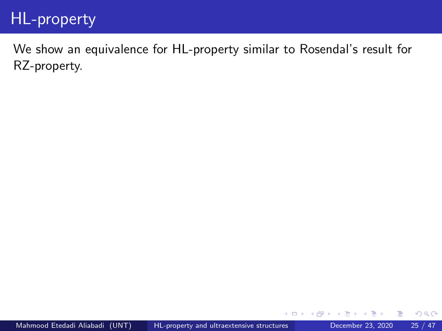We show an equivalence for HL-property similar to Rosendal's result for RZ-property.

э

 $\Box$ 

 $QQ$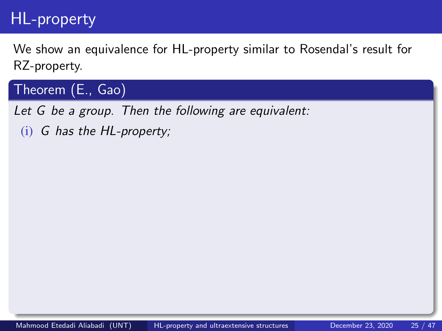We show an equivalence for HL-property similar to Rosendal's result for RZ-property.

Theorem (E., Gao)

Let G be a group. Then the following are equivalent:

(i) G has the HL-property;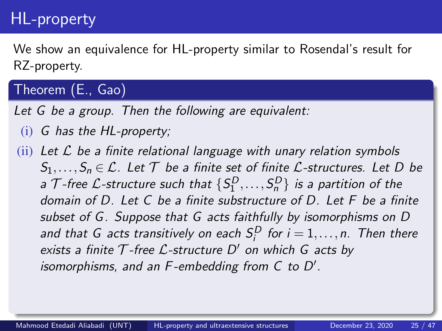We show an equivalence for HL-property similar to Rosendal's result for RZ-property.

## Theorem (E., Gao)

Let G be a group. Then the following are equivalent:

- (i) G has the HL-property;
- $(iii)$  Let  $\mathcal L$  be a finite relational language with unary relation symbols  $S_1, \ldots, S_n \in \mathcal{L}$ . Let  $\mathcal T$  be a finite set of finite  $\mathcal{L}$ -structures. Let D be a  $\mathcal T$ -free  $\mathcal L$ -structure such that  $\{S^D_1,\ldots, S^D_n\}$  is a partition of the domain of D. Let C be a finite substructure of D. Let F be a finite subset of G. Suppose that G acts faithfully by isomorphisms on D and that G acts transitively on each  $S_i^D$  for  $i=1,\ldots,n$ . Then there exists a finite  $T$ -free  $L$ -structure  $D'$  on which G acts by isomorphisms, and an  $F$ -embedding from  $C$  to  $D'$ .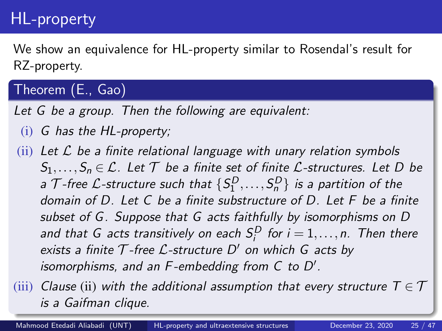We show an equivalence for HL-property similar to Rosendal's result for RZ-property.

## Theorem (E., Gao)

Let G be a group. Then the following are equivalent:

- (i) G has the HL-property;
- $(iii)$  Let  $\mathcal L$  be a finite relational language with unary relation symbols  $S_1, \ldots, S_n \in \mathcal{L}$ . Let  $\mathcal T$  be a finite set of finite  $\mathcal{L}$ -structures. Let D be a  $\mathcal T$ -free  $\mathcal L$ -structure such that  $\{S^D_1,\ldots, S^D_n\}$  is a partition of the domain of D. Let C be a finite substructure of D. Let F be a finite subset of G. Suppose that G acts faithfully by isomorphisms on D and that G acts transitively on each  $S_i^D$  for  $i=1,\ldots,n$ . Then there exists a finite  $T$ -free  $L$ -structure  $D'$  on which G acts by isomorphisms, and an  $F$ -embedding from  $C$  to  $D'$ .

(iii) Clause (ii) with the additional assumption that every structure  $T \in \mathcal{T}$ is a Gaifman clique.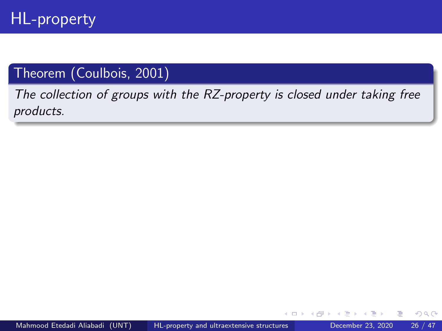The collection of groups with the RZ-property is closed under taking free products.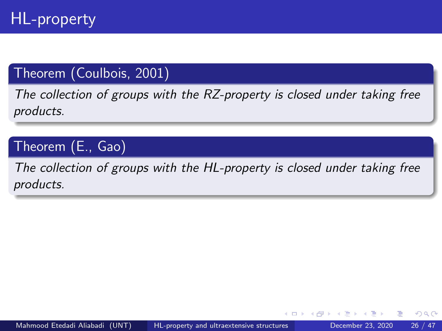The collection of groups with the RZ-property is closed under taking free products.

Theorem (E., Gao)

The collection of groups with the HL-property is closed under taking free products.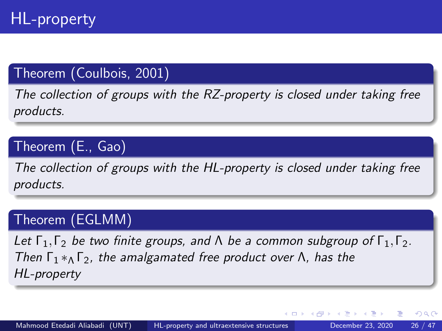The collection of groups with the RZ-property is closed under taking free products.

## Theorem (E., Gao)

The collection of groups with the HL-property is closed under taking free products.

## Theorem (EGLMM)

Let  $\Gamma_1, \Gamma_2$  be two finite groups, and  $\Lambda$  be a common subgroup of  $\Gamma_1, \Gamma_2$ . Then  $\Gamma_1 *_{\Lambda} \Gamma_2$ , the amalgamated free product over  $\Lambda$ , has the HL-property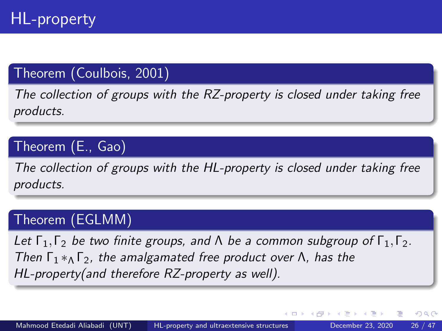The collection of groups with the RZ-property is closed under taking free products.

## Theorem (E., Gao)

The collection of groups with the HL-property is closed under taking free products.

## Theorem (EGLMM)

Let  $\Gamma_1, \Gamma_2$  be two finite groups, and  $\Lambda$  be a common subgroup of  $\Gamma_1, \Gamma_2$ . Then  $\Gamma_1 *_{\Lambda} \Gamma_2$ , the amalgamated free product over  $\Lambda$ , has the HL-property(and therefore RZ-property as well).

4 D F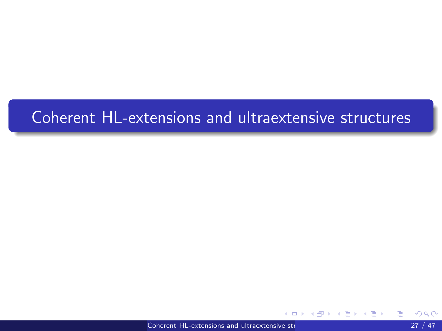## Coherent HL-extensions and ultraextensive structures

[Coherent HL-extensions and ultraextensive structures](#page-0-0) 27 / 47

哇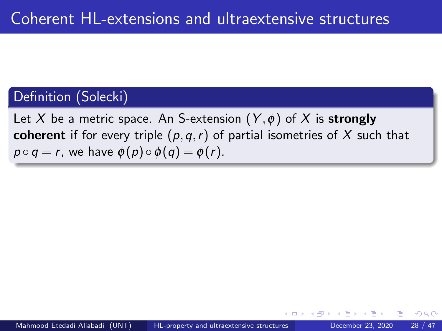## Definition (Solecki)

Let X be a metric space. An S-extension  $(Y, \phi)$  of X is strongly coherent if for every triple  $(p,q,r)$  of partial isometries of X such that  $p \circ q = r$ , we have  $\phi(p) \circ \phi(q) = \phi(r)$ .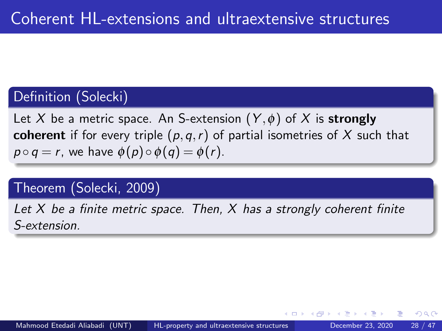## Definition (Solecki)

Let X be a metric space. An S-extension  $(Y, \phi)$  of X is strongly coherent if for every triple  $(p,q,r)$  of partial isometries of X such that  $p \circ q = r$ , we have  $\phi(p) \circ \phi(q) = \phi(r)$ .

## Theorem (Solecki, 2009)

Let  $X$  be a finite metric space. Then,  $X$  has a strongly coherent finite S-extension.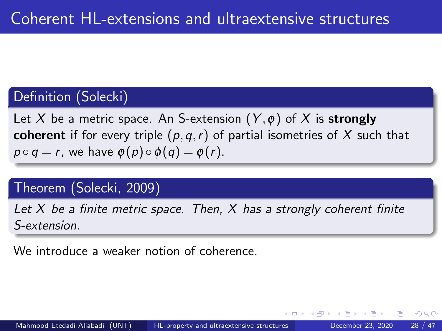## Definition (Solecki)

Let X be a metric space. An S-extension  $(Y, \phi)$  of X is strongly coherent if for every triple  $(p,q,r)$  of partial isometries of X such that  $p \circ q = r$ , we have  $\phi(p) \circ \phi(q) = \phi(r)$ .

## Theorem (Solecki, 2009)

Let  $X$  be a finite metric space. Then,  $X$  has a strongly coherent finite S-extension.

We introduce a weaker notion of coherence.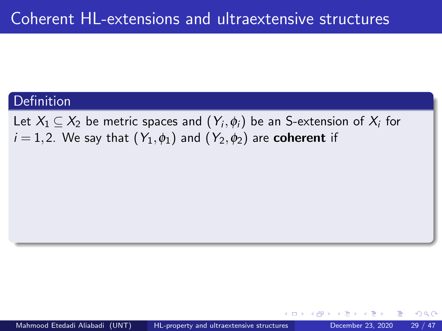Let  $X_1 \subseteq X_2$  be metric spaces and  $(Y_i, \phi_i)$  be an S-extension of  $X_i$  for  $i = 1,2$ . We say that  $(Y_1, \phi_1)$  and  $(Y_2, \phi_2)$  are **coherent** if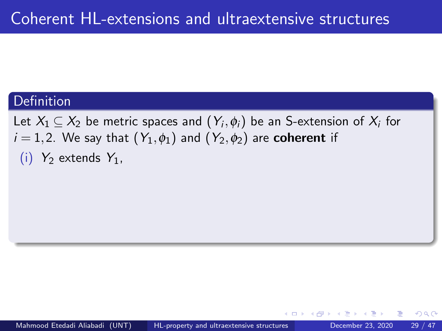Let  $X_1 \subseteq X_2$  be metric spaces and  $(Y_i, \phi_i)$  be an S-extension of  $X_i$  for  $i = 1,2$ . We say that  $(Y_1, \phi_1)$  and  $(Y_2, \phi_2)$  are **coherent** if (i)  $Y_2$  extends  $Y_1$ ,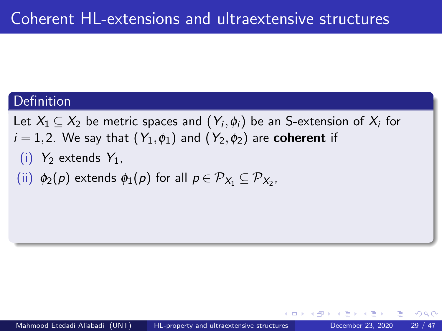Let  $X_1 \subseteq X_2$  be metric spaces and  $(Y_i, \phi_i)$  be an S-extension of  $X_i$  for  $i = 1,2$ . We say that  $(Y_1, \phi_1)$  and  $(Y_2, \phi_2)$  are **coherent** if

- (i)  $Y_2$  extends  $Y_1$ ,
- (ii)  $\phi_2(p)$  extends  $\phi_1(p)$  for all  $p \in \mathcal{P}_{X_1} \subseteq \mathcal{P}_{X_2}$ ,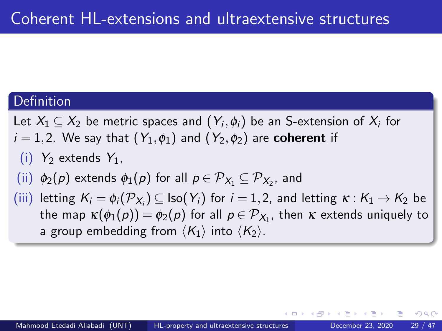- Let  $X_1 \subseteq X_2$  be metric spaces and  $(Y_i, \phi_i)$  be an S-extension of  $X_i$  for
- $i = 1,2$ . We say that  $(Y_1, \phi_1)$  and  $(Y_2, \phi_2)$  are **coherent** if

(i) 
$$
Y_2
$$
 extends  $Y_1$ ,

- (ii)  $\phi_2(p)$  extends  $\phi_1(p)$  for all  $p \in \mathcal{P}_{X_1} \subseteq \mathcal{P}_{X_2}$ , and
- $(iii)$  letting  $K_i = \phi_i(\mathcal{P}_{X_i}) \subseteq \text{Iso}(Y_i)$  for  $i = 1, 2$ , and letting  $\kappa : K_1 \to K_2$  be the map  $\kappa(\phi_1(\rho))=\phi_2(\rho)$  for all  $\rho\in \mathcal{P}_{X_1}$ , then  $\kappa$  extends uniquely to a group embedding from  $\langle K_1 \rangle$  into  $\langle K_2 \rangle$ .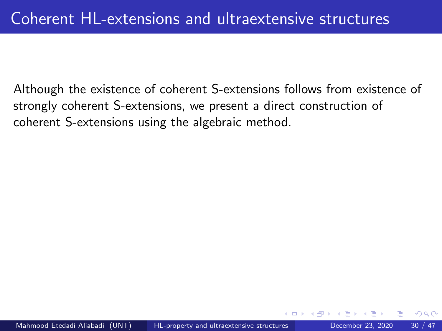Although the existence of coherent S-extensions follows from existence of strongly coherent S-extensions, we present a direct construction of coherent S-extensions using the algebraic method.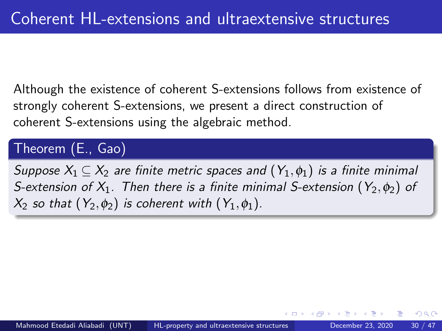Although the existence of coherent S-extensions follows from existence of strongly coherent S-extensions, we present a direct construction of coherent S-extensions using the algebraic method.

#### Theorem (E., Gao)

Suppose  $X_1 \subseteq X_2$  are finite metric spaces and  $(Y_1, \phi_1)$  is a finite minimal S-extension of  $X_1$ . Then there is a finite minimal S-extension  $(Y_2, \phi_2)$  of  $X_2$  so that  $(Y_2,\phi_2)$  is coherent with  $(Y_1,\phi_1)$ .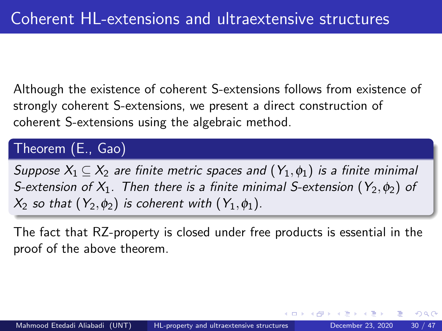Although the existence of coherent S-extensions follows from existence of strongly coherent S-extensions, we present a direct construction of coherent S-extensions using the algebraic method.

Theorem (E., Gao)

Suppose  $X_1 \subseteq X_2$  are finite metric spaces and  $(Y_1, \phi_1)$  is a finite minimal S-extension of  $X_1$ . Then there is a finite minimal S-extension  $(Y_2, \phi_2)$  of  $X_2$  so that  $(Y_2,\phi_2)$  is coherent with  $(Y_1,\phi_1)$ .

The fact that RZ-property is closed under free products is essential in the proof of the above theorem.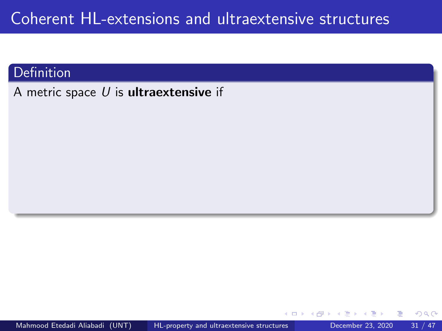## Coherent HL-extensions and ultraextensive structures

#### Definition

A metric space  $U$  is **ultraextensive** if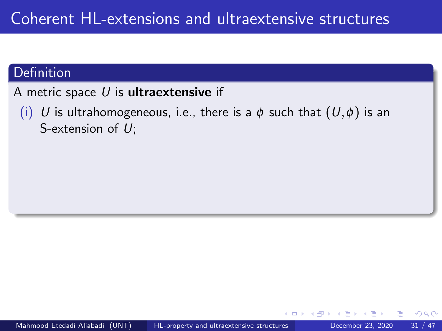A metric space  $U$  is ultraextensive if

(i) U is ultrahomogeneous, i.e., there is a  $\phi$  such that  $(U,\phi)$  is an S-extension of  $U$ ;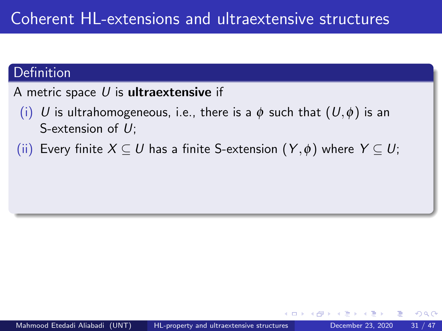A metric space  $U$  is ultraextensive if

- (i) U is ultrahomogeneous, i.e., there is a  $\phi$  such that  $(U,\phi)$  is an S-extension of  $U$ ;
- (ii) Every finite  $X \subseteq U$  has a finite S-extension  $(Y, \phi)$  where  $Y \subseteq U$ ;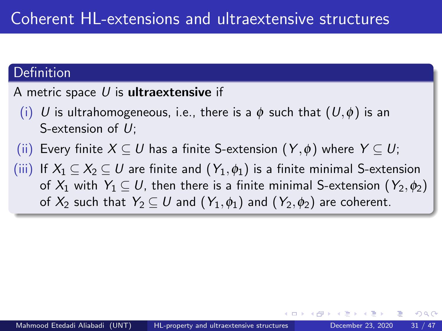#### A metric space  $U$  is **ultraextensive** if

- (i) U is ultrahomogeneous, i.e., there is a  $\phi$  such that  $(U,\phi)$  is an S-extension of  $U$ ;
- (ii) Every finite  $X \subseteq U$  has a finite S-extension  $(Y, \phi)$  where  $Y \subseteq U$ ;
- (iii) If  $X_1 \subseteq X_2 \subseteq U$  are finite and  $(Y_1, \phi_1)$  is a finite minimal S-extension of  $X_1$  with  $Y_1 \subseteq U$ , then there is a finite minimal S-extension  $(Y_2, \phi_2)$ of  $X_2$  such that  $Y_2 \subseteq U$  and  $(Y_1, \phi_1)$  and  $(Y_2, \phi_2)$  are coherent.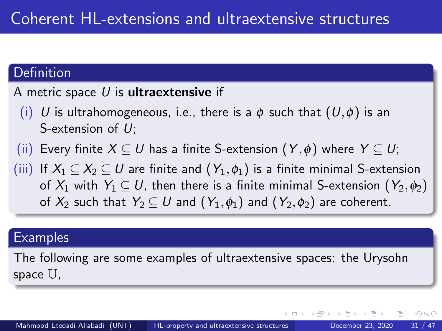#### A metric space  $U$  is **ultraextensive** if

- (i) U is ultrahomogeneous, i.e., there is a  $\phi$  such that  $(U,\phi)$  is an S-extension of  $U$ ;
- (ii) Every finite  $X \subseteq U$  has a finite S-extension  $(Y, \phi)$  where  $Y \subseteq U$ ;
- (iii) If  $X_1 \subseteq X_2 \subseteq U$  are finite and  $(Y_1, \phi_1)$  is a finite minimal S-extension of  $X_1$  with  $Y_1 \subset U$ , then there is a finite minimal S-extension  $(Y_2, \phi_2)$ of  $X_2$  such that  $Y_2 \subseteq U$  and  $(Y_1, \phi_1)$  and  $(Y_2, \phi_2)$  are coherent.

#### **Examples**

The following are some examples of ultraextensive spaces: the Urysohn space U,

 $200$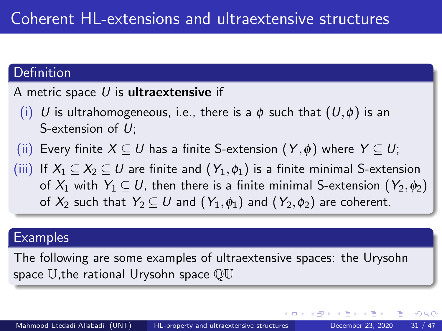#### A metric space  $U$  is **ultraextensive** if

- (i) U is ultrahomogeneous, i.e., there is a  $\phi$  such that  $(U,\phi)$  is an S-extension of  $U$ ;
- (ii) Every finite  $X \subseteq U$  has a finite S-extension  $(Y, \phi)$  where  $Y \subseteq U$ ;
- (iii) If  $X_1 \subseteq X_2 \subseteq U$  are finite and  $(Y_1, \phi_1)$  is a finite minimal S-extension of  $X_1$  with  $Y_1 \subset U$ , then there is a finite minimal S-extension  $(Y_2, \phi_2)$ of  $X_2$  such that  $Y_2 \subseteq U$  and  $(Y_1, \phi_1)$  and  $(Y_2, \phi_2)$  are coherent.

#### **Examples**

The following are some examples of ultraextensive spaces: the Urysohn space U,the rational Urysohn space QU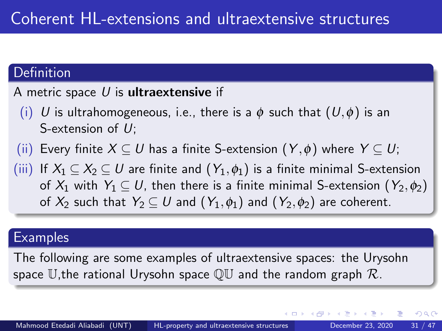#### A metric space  $U$  is **ultraextensive** if

- (i) U is ultrahomogeneous, i.e., there is a  $\phi$  such that  $(U,\phi)$  is an S-extension of  $U$ ;
- (ii) Every finite  $X \subseteq U$  has a finite S-extension  $(Y, \phi)$  where  $Y \subseteq U$ ;
- (iii) If  $X_1 \subseteq X_2 \subseteq U$  are finite and  $(Y_1, \phi_1)$  is a finite minimal S-extension of  $X_1$  with  $Y_1 \subset U$ , then there is a finite minimal S-extension  $(Y_2, \phi_2)$ of  $X_2$  such that  $Y_2 \subseteq U$  and  $(Y_1, \phi_1)$  and  $(Y_2, \phi_2)$  are coherent.

### **Examples**

The following are some examples of ultraextensive spaces: the Urysohn space U, the rational Urysohn space  $\mathbb{OU}$  and the random graph  $\mathcal{R}$ .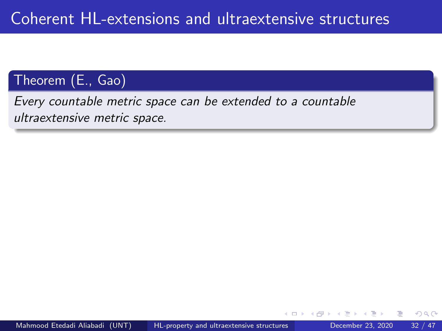Every countable metric space can be extended to a countable ultraextensive metric space.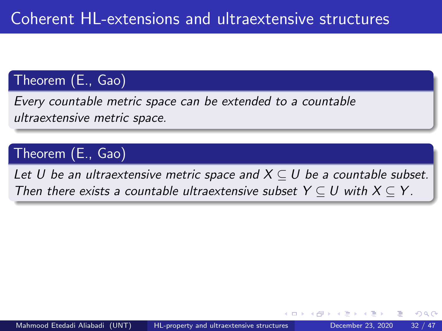Every countable metric space can be extended to a countable ultraextensive metric space.

## Theorem (E., Gao)

Let U be an ultraextensive metric space and  $X \subseteq U$  be a countable subset. Then there exists a countable ultraextensive subset  $Y \subseteq U$  with  $X \subseteq Y$ .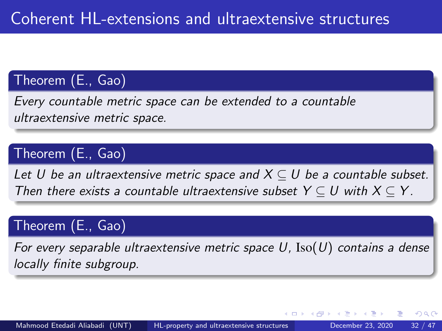Every countable metric space can be extended to a countable ultraextensive metric space.

## Theorem (E., Gao)

Let U be an ultraextensive metric space and  $X \subseteq U$  be a countable subset. Then there exists a countable ultraextensive subset  $Y \subseteq U$  with  $X \subseteq Y$ .

## Theorem (E., Gao)

For every separable ultraextensive metric space U,  $\text{Iso}(U)$  contains a dense locally finite subgroup.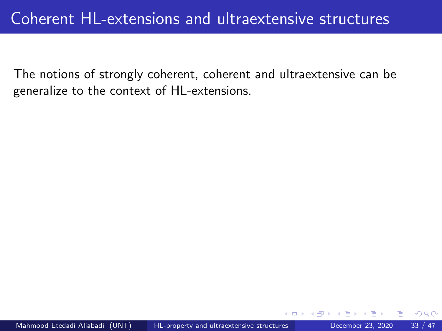The notions of strongly coherent, coherent and ultraextensive can be generalize to the context of HL-extensions.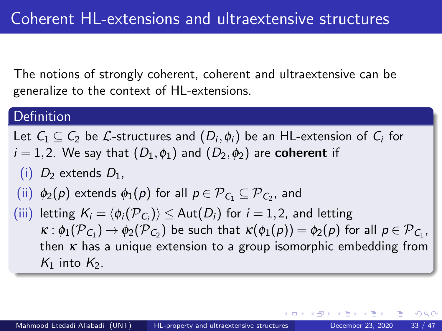The notions of strongly coherent, coherent and ultraextensive can be generalize to the context of HL-extensions.

#### **Definition**

Let  $\mathsf{C}_1 \subseteq \mathsf{C}_2$  be  $\mathcal{L}\text{-structures}$  and  $(D_i, \phi_i)$  be an HL-extension of  $\mathsf{C}_i$  for  $i = 1,2$ . We say that  $(D_1, \phi_1)$  and  $(D_2, \phi_2)$  are **coherent** if

- (i)  $D_2$  extends  $D_1$ ,
- $(\mathsf{ii}) \; \; \phi_2(\rho)$  extends  $\phi_1(\rho)$  for all  $\rho \in {\mathcal{P}}_{C_1} \subseteq {\mathcal{P}}_{C_2}$ , and
- $(iii)$  letting  $K_i = \langle \phi_i(\mathcal{P}_{C_i}) \rangle \leq \mathsf{Aut}(D_i)$  for  $i = 1,2$ , and letting  $\kappa: \phi_1({\mathcal P}_{C_1}) \to \phi_2({\mathcal P}_{C_2})$  be such that  $\kappa(\phi_1(\rho)) = \phi_2(\rho)$  for all  $\rho \in {\mathcal P}_{C_1}$ , then  $\kappa$  has a unique extension to a group isomorphic embedding from  $K_1$  into  $K_2$ .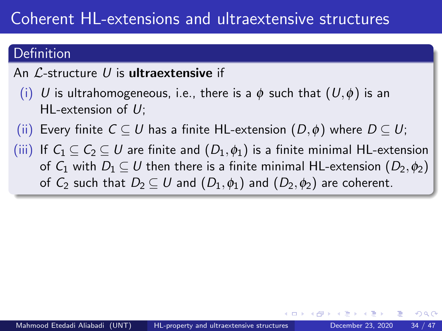## Definition

### An  $\mathcal{L}$ -structure  $U$  is **ultraextensive** if

- (i) U is ultrahomogeneous, i.e., there is a  $\phi$  such that  $(U,\phi)$  is an HL-extension of  $U$ ;
- (ii) Every finite  $C \subseteq U$  has a finite HL-extension  $(D, \phi)$  where  $D \subseteq U$ ;
- (iii) If  $C_1 \subseteq C_2 \subseteq U$  are finite and  $(D_1, \phi_1)$  is a finite minimal HL-extension of  $C_1$  with  $D_1 \subseteq U$  then there is a finite minimal HL-extension  $(D_2, \phi_2)$ of  $C_2$  such that  $D_2 \subseteq U$  and  $(D_1,\phi_1)$  and  $(D_2,\phi_2)$  are coherent.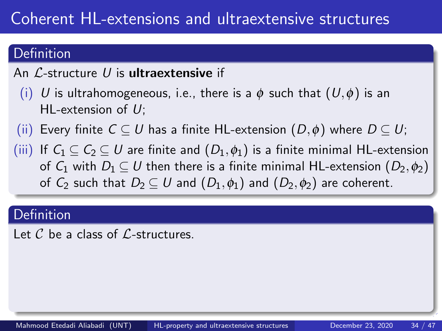## Definition

### An  $\mathcal{L}$ -structure U is **ultraextensive** if

- (i) U is ultrahomogeneous, i.e., there is a  $\phi$  such that  $(U,\phi)$  is an HL-extension of  $U$ ;
- (ii) Every finite  $C \subseteq U$  has a finite HL-extension  $(D, \phi)$  where  $D \subseteq U$ ;
- (iii) If  $C_1 \subseteq C_2 \subseteq U$  are finite and  $(D_1, \phi_1)$  is a finite minimal HL-extension of  $C_1$  with  $D_1 \subseteq U$  then there is a finite minimal HL-extension  $(D_2, \phi_2)$ of  $C_2$  such that  $D_2 \subseteq U$  and  $(D_1,\phi_1)$  and  $(D_2,\phi_2)$  are coherent.

### **Definition**

Let  $\mathcal C$  be a class of  $\mathcal L$ -structures.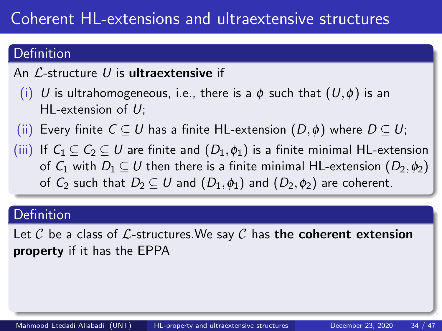### Definition

### An  $\mathcal{L}$ -structure U is **ultraextensive** if

- (i) U is ultrahomogeneous, i.e., there is a  $\phi$  such that  $(U,\phi)$  is an HL-extension of  $U$ ;
- (ii) Every finite  $C \subseteq U$  has a finite HL-extension  $(D, \phi)$  where  $D \subseteq U$ ;
- (iii) If  $C_1 \subseteq C_2 \subseteq U$  are finite and  $(D_1, \phi_1)$  is a finite minimal HL-extension of  $C_1$  with  $D_1 \subseteq U$  then there is a finite minimal HL-extension  $(D_2, \phi_2)$ of  $C_2$  such that  $D_2 \subseteq U$  and  $(D_1,\phi_1)$  and  $(D_2,\phi_2)$  are coherent.

### **Definition**

Let C be a class of L-structures. We say C has the coherent extension property if it has the EPPA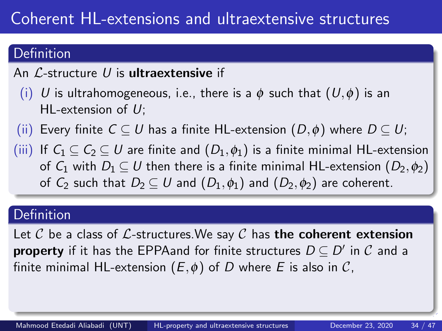## Definition

### An  $\mathcal{L}$ -structure U is **ultraextensive** if

- (i) U is ultrahomogeneous, i.e., there is a  $\phi$  such that  $(U,\phi)$  is an HL-extension of  $U$ ;
- (ii) Every finite  $C \subseteq U$  has a finite HL-extension  $(D, \phi)$  where  $D \subseteq U$ ;
- (iii) If  $C_1 \subseteq C_2 \subseteq U$  are finite and  $(D_1, \phi_1)$  is a finite minimal HL-extension of  $C_1$  with  $D_1 \subset U$  then there is a finite minimal HL-extension  $(D_2, \phi_2)$ of  $C_2$  such that  $D_2 \subseteq U$  and  $(D_1,\phi_1)$  and  $(D_2,\phi_2)$  are coherent.

#### **Definition**

Let C be a class of L-structures. We say C has the coherent extension  $\mathsf{property}\nolimits$  if it has the <code>EPPAand</code> for finite structures  $D\subseteq D'$  in  $\mathcal C$  and a finite minimal HL-extension  $(E, \phi)$  of D where E is also in C,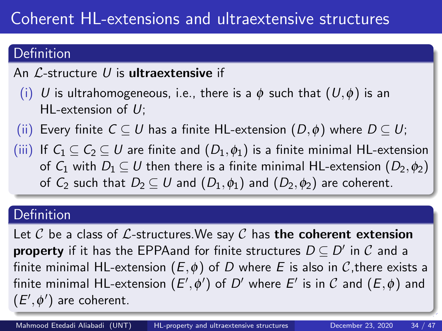## Definition

### An  $\mathcal{L}$ -structure U is **ultraextensive** if

- (i) U is ultrahomogeneous, i.e., there is a  $\phi$  such that  $(U,\phi)$  is an HL-extension of  $U$ ;
- (ii) Every finite  $C \subseteq U$  has a finite HL-extension  $(D, \phi)$  where  $D \subseteq U$ ;
- (iii) If  $C_1 \subseteq C_2 \subseteq U$  are finite and  $(D_1, \phi_1)$  is a finite minimal HL-extension of  $C_1$  with  $D_1 \subset U$  then there is a finite minimal HL-extension  $(D_2, \phi_2)$ of  $C_2$  such that  $D_2 \subseteq U$  and  $(D_1,\phi_1)$  and  $(D_2,\phi_2)$  are coherent.

### **Definition**

Let C be a class of L-structures. We say C has the coherent extension  $\mathsf{property}\nolimits$  if it has the <code>EPPAand</code> for finite structures  $D\subseteq D'$  in  $\mathcal C$  and a finite minimal HL-extension  $(E, \phi)$  of D where E is also in C, there exists a finite minimal HL-extension  $(E',\phi')$  of  $D'$  where  $E'$  is in  ${\cal C}$  and  $(E,\phi)$  and  $(E', \phi')$  are coherent.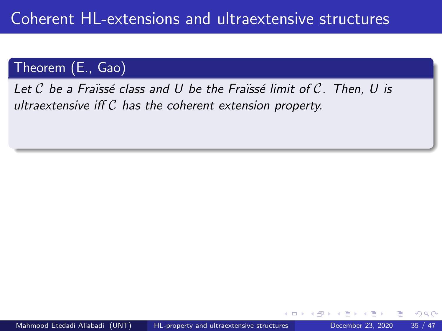Let  $\mathcal C$  be a Fraïssé class and U be the Fraïssé limit of  $\mathcal C$ . Then, U is ultraextensive iff  $C$  has the coherent extension property.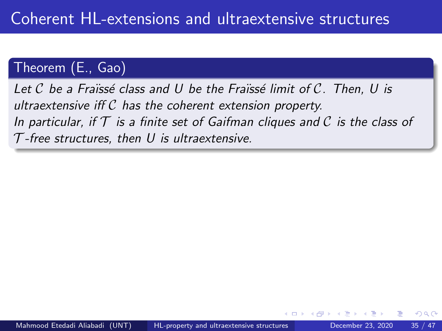Let C be a Fraïssé class and U be the Fraïssé limit of C. Then, U is ultraextensive iff  $C$  has the coherent extension property. In particular, if  $\mathcal T$  is a finite set of Gaifman cliques and C is the class of  $T$ -free structures, then U is ultraextensive.

つひひ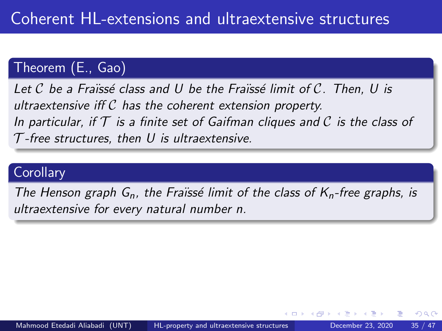Let C be a Fraïssé class and U be the Fraïssé limit of C. Then, U is ultraextensive iff  $C$  has the coherent extension property. In particular, if  $\mathcal T$  is a finite set of Gaifman cliques and C is the class of  $T$ -free structures, then U is ultraextensive.

### **Corollary**

The Henson graph  $G_n$ , the Fraïssé limit of the class of  $K_n$ -free graphs, is ultraextensive for every natural number n.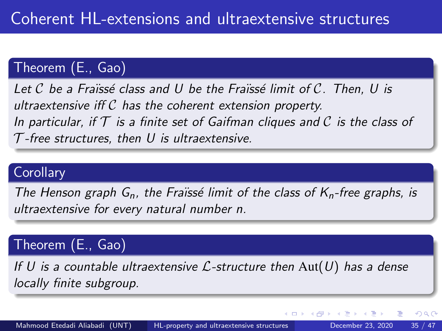Let C be a Fraïssé class and U be the Fraïssé limit of C. Then, U is ultraextensive iff  $C$  has the coherent extension property. In particular, if  $\mathcal T$  is a finite set of Gaifman cliques and C is the class of  $T$ -free structures, then U is ultraextensive.

### **Corollary**

The Henson graph  $G_n$ , the Fraïssé limit of the class of  $K_n$ -free graphs, is ultraextensive for every natural number n.

### Theorem (E., Gao)

If U is a countable ultraextensive  $\mathcal{L}$ -structure then  $\text{Aut}(U)$  has a dense locally finite subgroup.

4 D F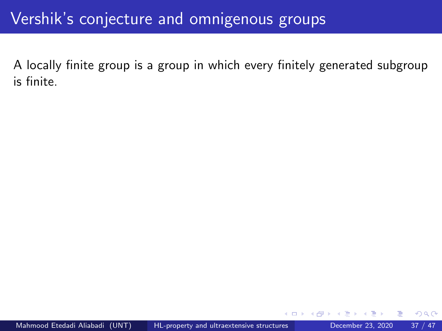A locally finite group is a group in which every finitely generated subgroup is finite.

つへへ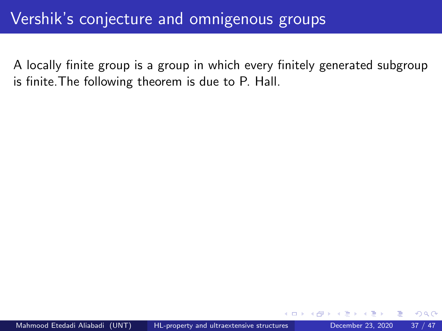A locally finite group is a group in which every finitely generated subgroup is finite.The following theorem is due to P. Hall.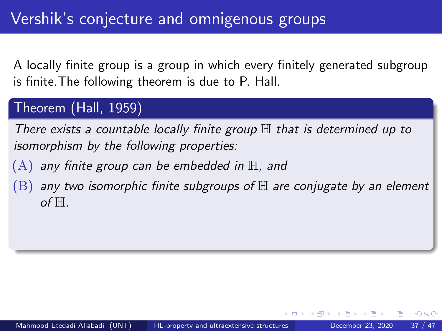## Theorem (Hall, 1959)

There exists a countable locally finite group  $\mathbb H$  that is determined up to isomorphism by the following properties:

- $(A)$  any finite group can be embedded in  $\mathbb H$ , and
- $(B)$  any two isomorphic finite subgroups of  $H$  are conjugate by an element of  $H$ .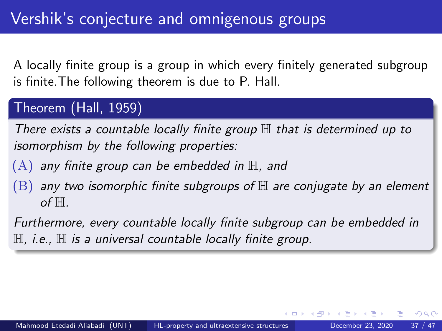### Theorem (Hall, 1959)

There exists a countable locally finite group  $\mathbb H$  that is determined up to isomorphism by the following properties:

- $(A)$  any finite group can be embedded in  $\mathbb H$ , and
- $(B)$  any two isomorphic finite subgroups of  $H$  are conjugate by an element of  $H$ .

Furthermore, every countable locally finite subgroup can be embedded in  $H$ , i.e.,  $H$  is a universal countable locally finite group.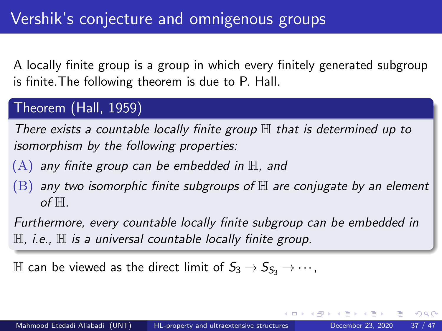### Theorem (Hall, 1959)

There exists a countable locally finite group  $\mathbb H$  that is determined up to isomorphism by the following properties:

- $(A)$  any finite group can be embedded in  $\mathbb H$ , and
- $(B)$  any two isomorphic finite subgroups of  $H$  are conjugate by an element of  $H$ .

Furthermore, every countable locally finite subgroup can be embedded in  $H$ , i.e.,  $H$  is a universal countable locally finite group.

 $\mathbb H$  can be viewed as the direct limit of  $S_3 \rightarrow S_{\mathcal{S}_3} \rightarrow \cdots$ ,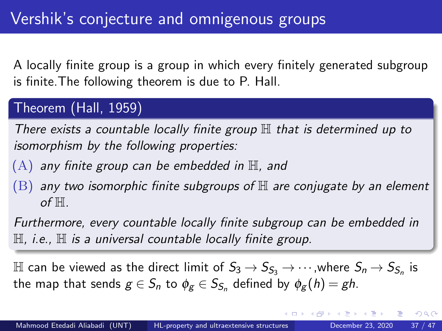## Theorem (Hall, 1959)

There exists a countable locally finite group  $\mathbb H$  that is determined up to isomorphism by the following properties:

- $(A)$  any finite group can be embedded in  $\mathbb H$ , and
- $(B)$  any two isomorphic finite subgroups of  $H$  are conjugate by an element of  $H$ .

Furthermore, every countable locally finite subgroup can be embedded in  $\mathbb H$ , i.e.,  $\mathbb H$  is a universal countable locally finite group.

 $\mathbb H$  can be viewed as the direct limit of  $S_3 \to S_{\mathcal{S}_3} \to \cdots$  ,where  $S_n \to S_{\mathcal{S}_n}$  is the map that sends  $g\in S_n$  to  $\phi_g\in S_{S_n}$  defined by  $\phi_g(h)=gh.$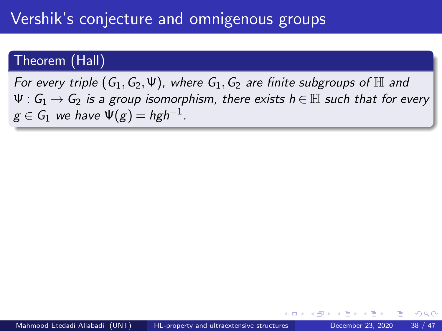For every triple  $(G_1, G_2, \Psi)$ , where  $G_1, G_2$  are finite subgroups of  $\mathbb H$  and  $\Psi: G_1 \to G_2$  is a group isomorphism, there exists  $h \in \mathbb{H}$  such that for every  $g\in\mathcal{G}_1$  we have  $\Psi(g)=hgh^{-1}$ .

つひひ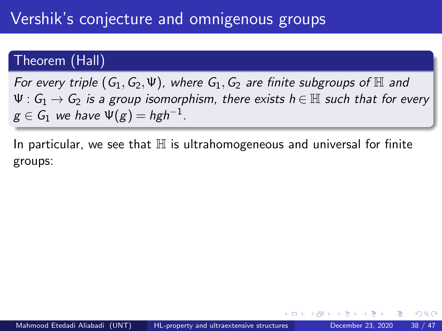For every triple  $(G_1, G_2, \Psi)$ , where  $G_1, G_2$  are finite subgroups of  $\mathbb H$  and  $\Psi: G_1 \to G_2$  is a group isomorphism, there exists  $h \in \mathbb{H}$  such that for every  $g\in\mathcal{G}_1$  we have  $\Psi(g)=hgh^{-1}$ .

In particular, we see that  $\mathbb H$  is ultrahomogeneous and universal for finite groups:

つひひ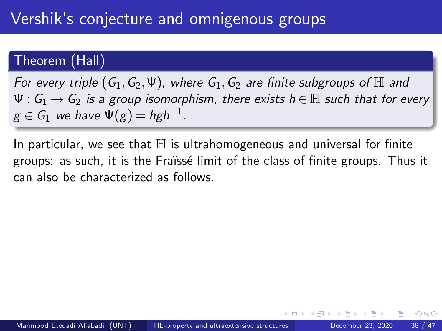For every triple  $(G_1, G_2, \Psi)$ , where  $G_1, G_2$  are finite subgroups of H and  $\Psi: G_1 \to G_2$  is a group isomorphism, there exists  $h \in \mathbb{H}$  such that for every  $g\in\mathcal{G}_1$  we have  $\Psi(g)=hgh^{-1}$ .

In particular, we see that  $\mathbb H$  is ultrahomogeneous and universal for finite groups: as such, it is the Fraïssé limit of the class of finite groups. Thus it can also be characterized as follows.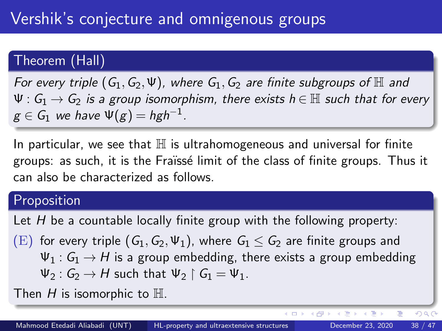For every triple  $(G_1, G_2, \Psi)$ , where  $G_1, G_2$  are finite subgroups of  $\mathbb H$  and  $\Psi: G_1 \to G_2$  is a group isomorphism, there exists  $h \in \mathbb{H}$  such that for every  $g\in\mathcal{G}_1$  we have  $\Psi(g)=hgh^{-1}$ .

In particular, we see that  $\mathbb H$  is ultrahomogeneous and universal for finite groups: as such, it is the Fraïssé limit of the class of finite groups. Thus it can also be characterized as follows.

#### Proposition

Let  $H$  be a countable locally finite group with the following property:

(E) for every triple  $(G_1, G_2, \Psi_1)$ , where  $G_1 \leq G_2$  are finite groups and  $\Psi_1: G_1 \to H$  is a group embedding, there exists a group embedding  $\Psi_2: G_2 \to H$  such that  $\Psi_2 \upharpoonright G_1 = \Psi_1$ .

Then  $H$  is isomorphic to  $\mathbb H$ .

 $QQ$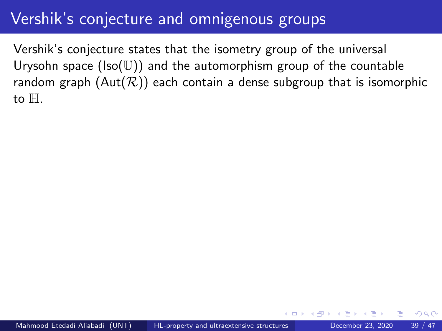Vershik's conjecture states that the isometry group of the universal Urysohn space  $(Iso(U))$  and the automorphism group of the countable random graph  $(Aut(\mathcal{R}))$  each contain a dense subgroup that is isomorphic to H.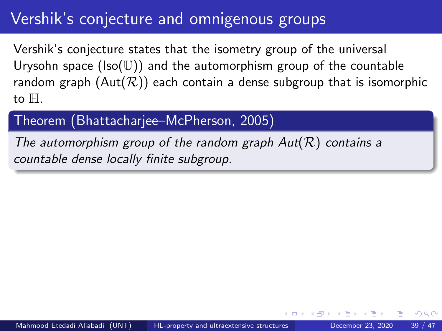Vershik's conjecture states that the isometry group of the universal Urysohn space  $(Iso(\mathbb{U}))$  and the automorphism group of the countable random graph  $(Aut(\mathcal{R}))$  each contain a dense subgroup that is isomorphic to H.

### Theorem (Bhattacharjee–McPherson, 2005)

The automorphism group of the random graph  $Aut(R)$  contains a countable dense locally finite subgroup.

つひひ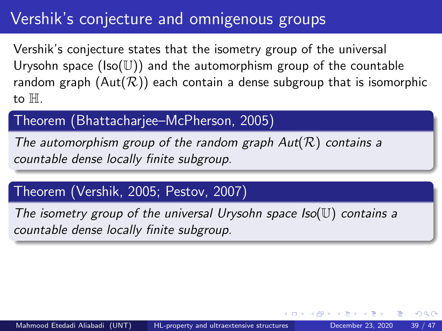Vershik's conjecture states that the isometry group of the universal Urysohn space  $(Iso(U))$  and the automorphism group of the countable random graph  $(Aut(\mathcal{R}))$  each contain a dense subgroup that is isomorphic to H.

### Theorem (Bhattacharjee–McPherson, 2005)

The automorphism group of the random graph  $Aut(R)$  contains a countable dense locally finite subgroup.

## Theorem (Vershik, 2005; Pestov, 2007)

The isometry group of the universal Urysohn space  $Iso(\mathbb{U})$  contains a countable dense locally finite subgroup.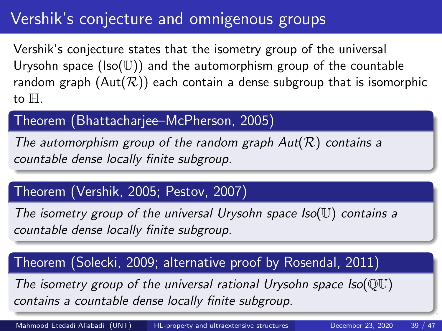Vershik's conjecture states that the isometry group of the universal Urysohn space  $(Iso(U))$  and the automorphism group of the countable random graph  $(Aut(\mathcal{R}))$  each contain a dense subgroup that is isomorphic to H.

### Theorem (Bhattacharjee–McPherson, 2005)

The automorphism group of the random graph  $Aut(R)$  contains a countable dense locally finite subgroup.

## Theorem (Vershik, 2005; Pestov, 2007)

The isometry group of the universal Urysohn space  $Iso(\mathbb{U})$  contains a countable dense locally finite subgroup.

### Theorem (Solecki, 2009; alternative proof by Rosendal, 2011)

The isometry group of the universal rational Urysohn space  $Iso(\mathbb{O}U)$ contains a countable dense locally finite subgroup.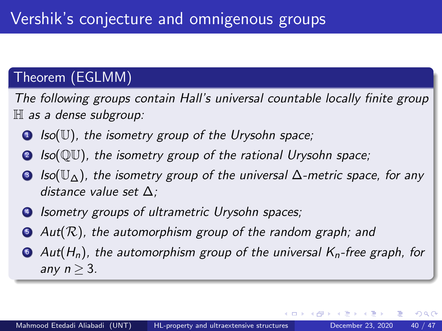## Theorem (EGLMM)

The following groups contain Hall's universal countable locally finite group  $\mathbb H$  as a dense subgroup:

- $\bullet$  Iso(U), the isometry group of the Urysohn space;
- **2** Iso(QU), the isometry group of the rational Urysohn space;
- **3** Iso( $\mathbb{U}_{\Delta}$ ), the isometry group of the universal  $\Delta$ -metric space, for any distance value set ∆;
- **4** Isometry groups of ultrametric Urysohn spaces;
- $\bullet$  Aut( $\mathcal{R}$ ), the automorphism group of the random graph; and
- $\bullet$  Aut(H<sub>n</sub>), the automorphism group of the universal K<sub>n</sub>-free graph, for any  $n > 3$ .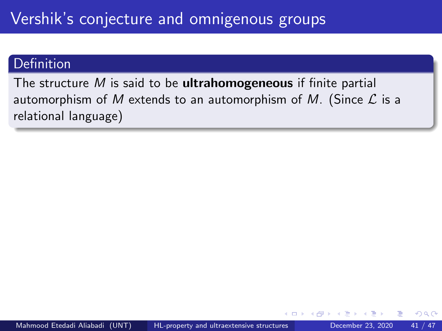The structure  $M$  is said to be **ultrahomogeneous** if finite partial automorphism of M extends to an automorphism of M. (Since  $\mathcal L$  is a relational language)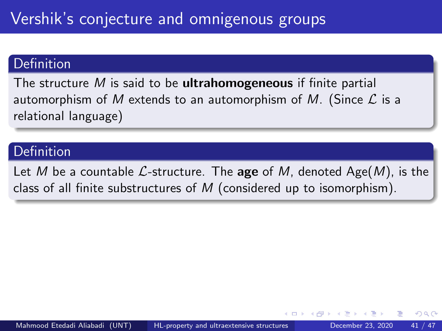The structure  $M$  is said to be ultrahomogeneous if finite partial automorphism of M extends to an automorphism of M. (Since  $\mathcal L$  is a relational language)

### Definition

Let M be a countable L-structure. The age of M, denoted Age(M), is the class of all finite substructures of  $M$  (considered up to isomorphism).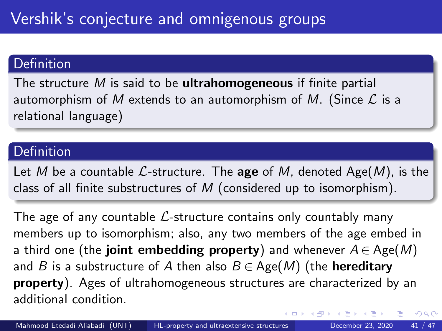The structure  $M$  is said to be **ultrahomogeneous** if finite partial automorphism of M extends to an automorphism of M. (Since  $\mathcal L$  is a relational language)

### Definition

Let M be a countable  $\mathcal{L}$ -structure. The age of M, denoted Age(M), is the class of all finite substructures of  $M$  (considered up to isomorphism).

The age of any countable  $\mathcal{L}$ -structure contains only countably many members up to isomorphism; also, any two members of the age embed in a third one (the **joint embedding property**) and whenever  $A \in \text{Age}(M)$ and B is a substructure of A then also  $B \in \text{Age}(M)$  (the **hereditary** property). Ages of ultrahomogeneous structures are characterized by an additional condition.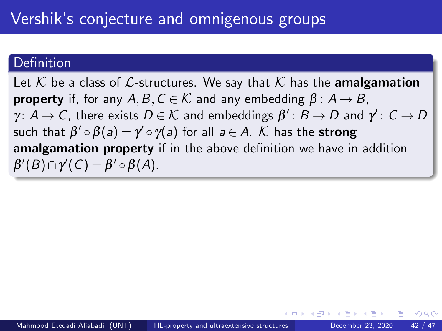Let K be a class of L-structures. We say that K has the **amalgamation property** if, for any  $A, B, C \in \mathcal{K}$  and any embedding  $\beta : A \rightarrow B$ ,  $\gamma\colon A\to C$ , there exists  $D\in\mathcal{K}$  and embeddings  $\beta'\colon B\to D$  and  $\gamma'\colon C\to D$ such that  $\beta'\circ\beta(\mathsf{a})=\gamma'\circ\gamma(\mathsf{a})$  for all  $\mathsf{a}\in A$ .  $\mathcal K$  has the  $\mathsf{strong}$ amalgamation property if in the above definition we have in addition  $\beta'(B) \cap \gamma'(C) = \beta' \circ \beta(A).$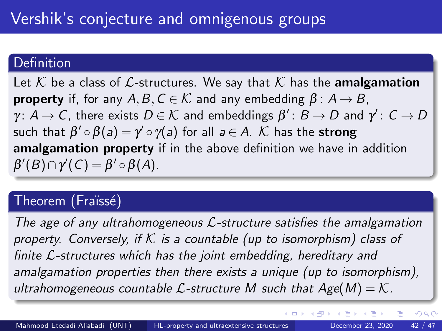Let K be a class of L-structures. We say that K has the **amalgamation property** if, for any  $A, B, C \in \mathcal{K}$  and any embedding  $\beta : A \rightarrow B$ ,  $\gamma\colon A\to C$ , there exists  $D\in\mathcal{K}$  and embeddings  $\beta'\colon B\to D$  and  $\gamma'\colon C\to D$ such that  $\beta'\circ\beta(\mathsf{a})=\gamma'\circ\gamma(\mathsf{a})$  for all  $\mathsf{a}\in A$ .  $\mathcal K$  has the  $\mathsf{strong}$ amalgamation property if in the above definition we have in addition  $\beta'(B) \cap \gamma'(C) = \beta' \circ \beta(A).$ 

#### Theorem (Fraïssé)

The age of any ultrahomogeneous  $\mathcal{L}$ -structure satisfies the amalgamation property. Conversely, if  $K$  is a countable (up to isomorphism) class of finite L-structures which has the joint embedding, hereditary and amalgamation properties then there exists a unique (up to isomorphism), ultrahomogeneous countable  $\mathcal{L}$ -structure M such that  $Age(M) = \mathcal{K}$ .

 $\Omega$ 

**K ロ ト K 何 ト K ヨ ト K ヨ**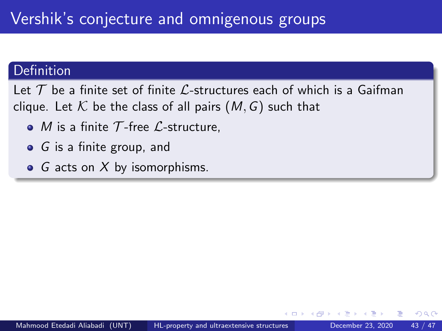#### Definition

Let  $T$  be a finite set of finite  $\mathcal{L}$ -structures each of which is a Gaifman clique. Let  $K$  be the class of all pairs  $(M, G)$  such that

- $\bullet$  *M* is a finite T-free *L*-structure,
- $\bullet$  G is a finite group, and
- G acts on  $X$  by isomorphisms.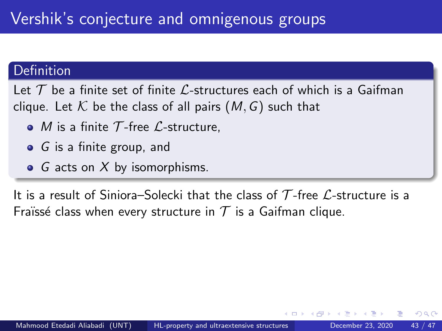#### Definition

Let  $\mathcal T$  be a finite set of finite L-structures each of which is a Gaifman clique. Let K be the class of all pairs  $(M, G)$  such that

- $\bullet$  *M* is a finite T-free *L*-structure,
- $\bullet$  G is a finite group, and
- G acts on  $X$  by isomorphisms.

It is a result of Siniora–Solecki that the class of  $\mathcal T$ -free  $\mathcal L$ -structure is a Fraïssé class when every structure in  $\mathcal T$  is a Gaifman clique.

つひひ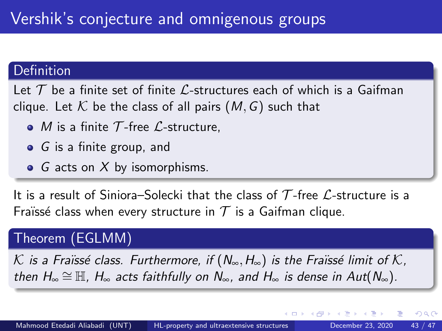#### Definition

Let  $\mathcal T$  be a finite set of finite L-structures each of which is a Gaifman clique. Let K be the class of all pairs  $(M, G)$  such that

- $\bullet$  *M* is a finite T-free *L*-structure,
- $\bullet$  G is a finite group, and
- G acts on  $X$  by isomorphisms.

It is a result of Siniora–Solecki that the class of  $\mathcal T$ -free  $\mathcal L$ -structure is a Fraïssé class when every structure in  $T$  is a Gaifman clique.

### Theorem (EGLMM)

K is a Fraïssé class. Furthermore, if ( $N_{\infty},H_{\infty}$ ) is the Fraïssé limit of K, then  $H_{\infty} \cong \mathbb{H}$ ,  $H_{\infty}$  acts faithfully on  $N_{\infty}$ , and  $H_{\infty}$  is dense in Aut( $N_{\infty}$ ).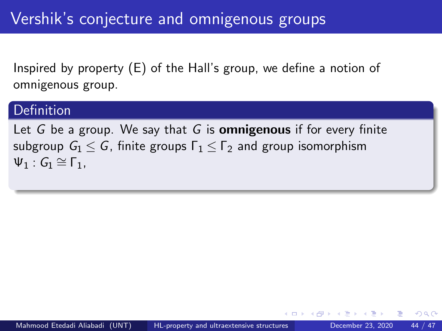#### Definition

Let G be a group. We say that G is **omnigenous** if for every finite subgroup  $G_1 \leq G$ , finite groups  $\Gamma_1 \leq \Gamma_2$  and group isomorphism  $\Psi_1$ :  $G_1 \cong \Gamma_1$ .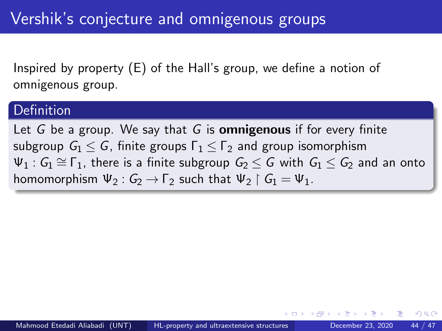#### Definition

Let G be a group. We say that G is **omnigenous** if for every finite subgroup  $G_1 \leq G$ , finite groups  $\Gamma_1 \leq \Gamma_2$  and group isomorphism  $\Psi_1$ :  $G_1 \cong \Gamma_1$ , there is a finite subgroup  $G_2 \leq G$  with  $G_1 \leq G_2$  and an onto homomorphism  $\Psi_2$ :  $G_2 \rightarrow F_2$  such that  $\Psi_2 \upharpoonright G_1 = \Psi_1$ .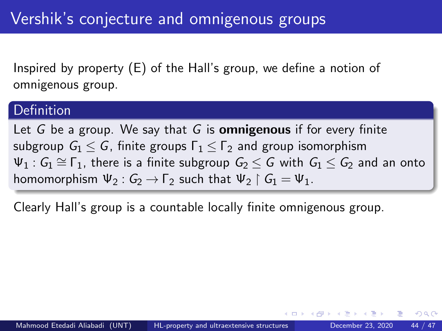#### Definition

Let G be a group. We say that G is **omnigenous** if for every finite subgroup  $G_1 \leq G$ , finite groups  $\Gamma_1 \leq \Gamma_2$  and group isomorphism  $\Psi_1$ :  $G_1 \cong \Gamma_1$ , there is a finite subgroup  $G_2 \leq G$  with  $G_1 \leq G_2$  and an onto homomorphism  $\Psi_2$ :  $G_2 \rightarrow F_2$  such that  $\Psi_2 \upharpoonright G_1 = \Psi_1$ .

Clearly Hall's group is a countable locally finite omnigenous group.

つひひ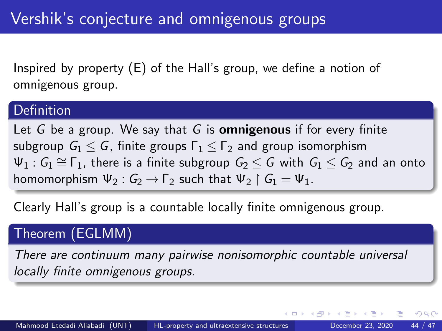#### Definition

Let G be a group. We say that G is **omnigenous** if for every finite subgroup  $G_1 \leq G$ , finite groups  $\Gamma_1 \leq \Gamma_2$  and group isomorphism  $\Psi_1$ :  $G_1 \cong \Gamma_1$ , there is a finite subgroup  $G_2 \leq G$  with  $G_1 \leq G_2$  and an onto homomorphism  $\Psi_2$ :  $G_2 \rightarrow F_2$  such that  $\Psi_2 \upharpoonright G_1 = \Psi_1$ .

Clearly Hall's group is a countable locally finite omnigenous group.

## Theorem (EGLMM)

There are continuum many pairwise nonisomorphic countable universal locally finite omnigenous groups.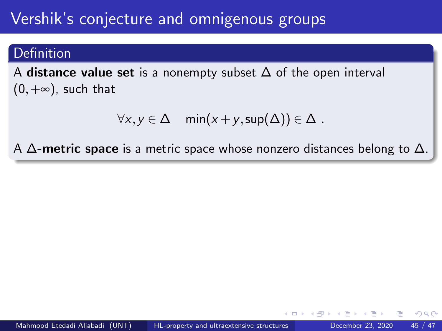# Vershik's conjecture and omnigenous groups

#### Definition

A distance value set is a nonempty subset  $\Delta$  of the open interval  $(0, +\infty)$ , such that

$$
\forall x, y \in \Delta \quad \min(x+y, \sup(\Delta)) \in \Delta .
$$

A  $\Delta$ -metric space is a metric space whose nonzero distances belong to  $\Delta$ .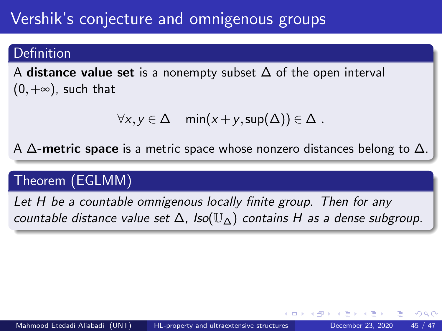# Vershik's conjecture and omnigenous groups

#### Definition

A distance value set is a nonempty subset  $\Delta$  of the open interval  $(0, +\infty)$ , such that

$$
\forall x, y \in \Delta \quad \min(x+y, \sup(\Delta)) \in \Delta .
$$

A  $\Delta$ -metric space is a metric space whose nonzero distances belong to  $\Delta$ .

## Theorem (EGLMM)

Let H be a countable omnigenous locally finite group. Then for any countable distance value set  $\Delta$ , Iso( $\mathbb{U}_{\Lambda}$ ) contains H as a dense subgroup.

つひひ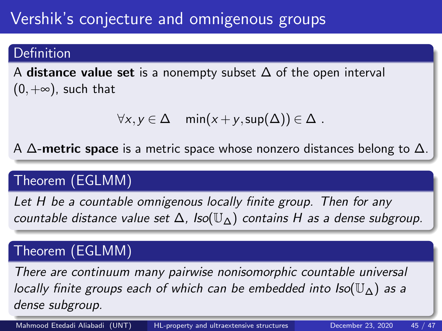# Vershik's conjecture and omnigenous groups

#### Definition

A distance value set is a nonempty subset  $\Delta$  of the open interval  $(0, +\infty)$ , such that

$$
\forall x, y \in \Delta \quad \min(x+y, \sup(\Delta)) \in \Delta .
$$

A  $\Delta$ -metric space is a metric space whose nonzero distances belong to  $\Delta$ .

## Theorem (EGLMM)

Let H be a countable omnigenous locally finite group. Then for any countable distance value set  $\Delta$ , Iso( $\mathbb{U}_{\Delta}$ ) contains H as a dense subgroup.

# Theorem (EGLMM)

There are continuum many pairwise nonisomorphic countable universal locally finite groups each of which can be embedded into  $\text{Iso}(\mathbb{U}_{\wedge})$  as a dense subgroup.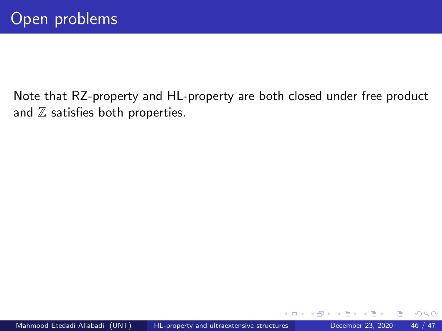Note that RZ-property and HL-property are both closed under free product and  $Z$  satisfies both properties.

 $\leftarrow$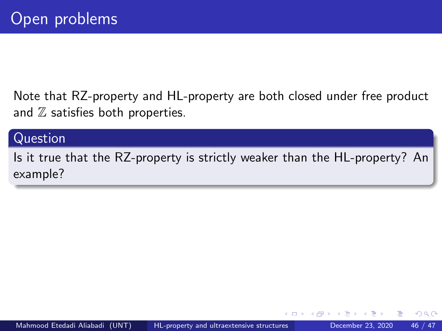Note that RZ-property and HL-property are both closed under free product and  $\mathbb Z$  satisfies both properties.

#### Question

Is it true that the RZ-property is strictly weaker than the HL-property? An example?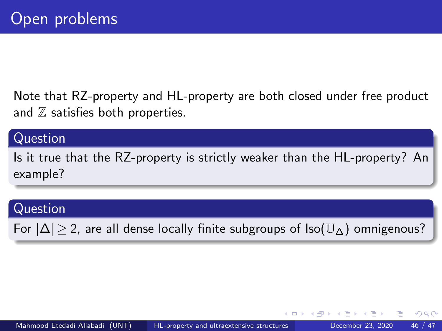Note that RZ-property and HL-property are both closed under free product and  $\mathbb Z$  satisfies both properties.

#### Question

Is it true that the RZ-property is strictly weaker than the HL-property? An example?

#### Question

For  $|\Delta| > 2$ , are all dense locally finite subgroups of  $\text{Iso}(\mathbb{U}_{\Delta})$  omnigenous?